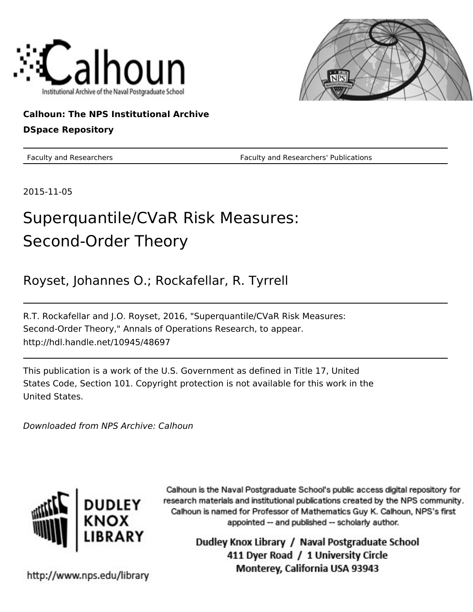



# **Calhoun: The NPS Institutional Archive**

# **DSpace Repository**

Faculty and Researchers Faculty and Researchers' Publications

2015-11-05

# Superquantile/CVaR Risk Measures: Second-Order Theory

Royset, Johannes O.; Rockafellar, R. Tyrrell

R.T. Rockafellar and J.O. Royset, 2016, "Superquantile/CVaR Risk Measures: Second-Order Theory," Annals of Operations Research, to appear. http://hdl.handle.net/10945/48697

This publication is a work of the U.S. Government as defined in Title 17, United States Code, Section 101. Copyright protection is not available for this work in the United States.

Downloaded from NPS Archive: Calhoun



Calhoun is the Naval Postgraduate School's public access digital repository for research materials and institutional publications created by the NPS community. Calhoun is named for Professor of Mathematics Guy K. Calhoun, NPS's first appointed -- and published -- scholarly author.

> Dudley Knox Library / Naval Postgraduate School 411 Dyer Road / 1 University Circle Monterey, California USA 93943

http://www.nps.edu/library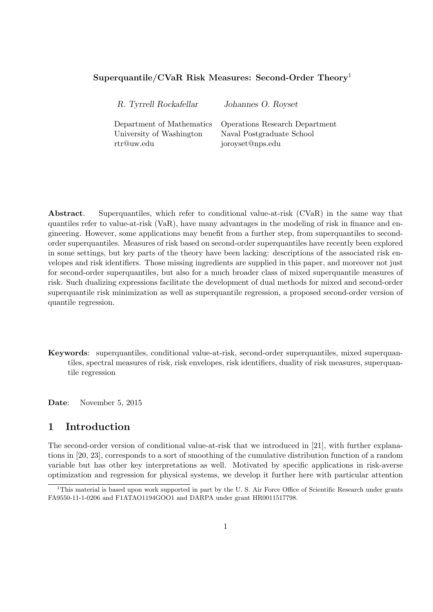#### **Superquantile/CVaR Risk Measures: Second-Order Theory**<sup>1</sup>

| R. Tyrrell Rockafellar    | Johannes O. Royset             |
|---------------------------|--------------------------------|
| Department of Mathematics | Operations Research Department |
| University of Washington  | Naval Postgraduate School      |
| rtr@uw.edu                | joroyset@nps.edu               |

**Abstract**. Superquantiles, which refer to conditional value-at-risk (CVaR) in the same way that quantiles refer to value-at-risk (VaR), have many advantages in the modeling of risk in finance and engineering. However, some applications may benefit from a further step, from superquantiles to secondorder superquantiles. Measures of risk based on second-order superquantiles have recently been explored in some settings, but key parts of the theory have been lacking: descriptions of the associated risk envelopes and risk identifiers. Those missing ingredients are supplied in this paper, and moreover not just for second-order superquantiles, but also for a much broader class of mixed superquantile measures of risk. Such dualizing expressions facilitate the development of dual methods for mixed and second-order superquantile risk minimization as well as superquantile regression, a proposed second-order version of quantile regression.

**Keywords**: superquantiles, conditional value-at-risk, second-order superquantiles, mixed superquantiles, spectral measures of risk, risk envelopes, risk identifiers, duality of risk measures, superquantile regression

**Date**: November 5, 2015

#### **1 Introduction**

The second-order version of conditional value-at-risk that we introduced in [21], with further explanations in [20, 23], corresponds to a sort of smoothing of the cumulative distribution function of a random variable but has other key interpretations as well. Motivated by specific applications in risk-averse optimization and regression for physical systems, we develop it further here with particular attention

 $1$ This material is based upon work supported in part by the U.S. Air Force Office of Scientific Research under grants FA9550-11-1-0206 and F1ATAO1194GOO1 and DARPA under grant HR0011517798.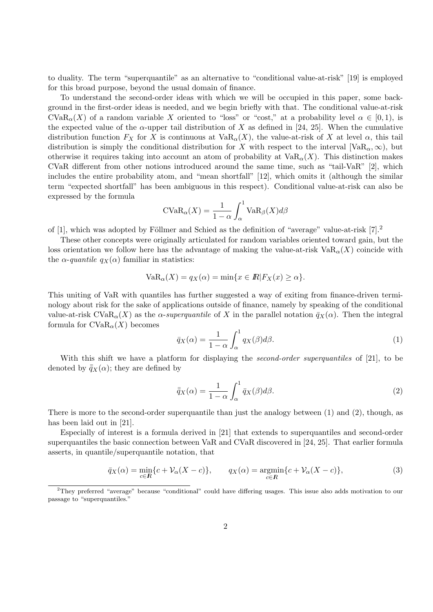to duality. The term "superquantile" as an alternative to "conditional value-at-risk" [19] is employed for this broad purpose, beyond the usual domain of finance.

To understand the second-order ideas with which we will be occupied in this paper, some background in the first-order ideas is needed, and we begin briefly with that. The conditional value-at-risk CVaR<sub>α</sub>(*X*) of a random variable *X* oriented to "loss" or "cost," at a probability level  $\alpha \in [0,1)$ , is the expected value of the  $\alpha$ -upper tail distribution of *X* as defined in [24, 25]. When the cumulative distribution function  $F_X$  for *X* is continuous at  $VaR_\alpha(X)$ , the value-at-risk of *X* at level  $\alpha$ , this tail distribution is simply the conditional distribution for *X* with respect to the interval [VaR<sub> $\alpha$ </sub>,  $\infty$ ), but otherwise it requires taking into account an atom of probability at  $VaR_\alpha(X)$ . This distinction makes CVaR different from other notions introduced around the same time, such as "tail-VaR" [2], which includes the entire probability atom, and "mean shortfall" [12], which omits it (although the similar term "expected shortfall" has been ambiguous in this respect). Conditional value-at-risk can also be expressed by the formula

$$
CVaR_{\alpha}(X) = \frac{1}{1-\alpha} \int_{\alpha}^{1} VaR_{\beta}(X)d\beta
$$

of [1], which was adopted by Föllmer and Schied as the definition of "average" value-at-risk  $[7].^2$ 

These other concepts were originally articulated for random variables oriented toward gain, but the loss orientation we follow here has the advantage of making the value-at-risk  $VaR_\alpha(X)$  coincide with the  $\alpha$ -*quantile*  $q_X(\alpha)$  familiar in statistics:

$$
VaR_{\alpha}(X) = q_X(\alpha) = \min\{x \in \mathbb{R} | F_X(x) \ge \alpha\}.
$$

This uniting of VaR with quantiles has further suggested a way of exiting from finance-driven terminology about risk for the sake of applications outside of finance, namely by speaking of the conditional value-at-risk CVa $R_\alpha(X)$  as the *α-superquantile* of X in the parallel notation  $\bar{q}_X(\alpha)$ . Then the integral formula for  $CVaR_{\alpha}(X)$  becomes

$$
\bar{q}_X(\alpha) = \frac{1}{1-\alpha} \int_{\alpha}^{1} q_X(\beta) d\beta.
$$
 (1)

With this shift we have a platform for displaying the *second-order superquantiles* of [21], to be denoted by  $\bar{q}_X(\alpha)$ ; they are defined by

$$
\bar{\bar{q}}_X(\alpha) = \frac{1}{1-\alpha} \int_{\alpha}^{1} \bar{q}_X(\beta) d\beta.
$$
 (2)

There is more to the second-order superquantile than just the analogy between (1) and (2), though, as has been laid out in [21].

Especially of interest is a formula derived in [21] that extends to superquantiles and second-order superquantiles the basic connection between VaR and CVaR discovered in [24, 25]. That earlier formula asserts, in quantile/superquantile notation, that

$$
\bar{q}_X(\alpha) = \min_{c \in \mathbb{R}} \{c + \mathcal{V}_{\alpha}(X - c)\}, \qquad q_X(\alpha) = \operatorname*{argmin}_{c \in \mathbb{R}} \{c + \mathcal{V}_{\alpha}(X - c)\},\tag{3}
$$

<sup>2</sup>They preferred "average" because "conditional" could have differing usages. This issue also adds motivation to our passage to "superquantiles."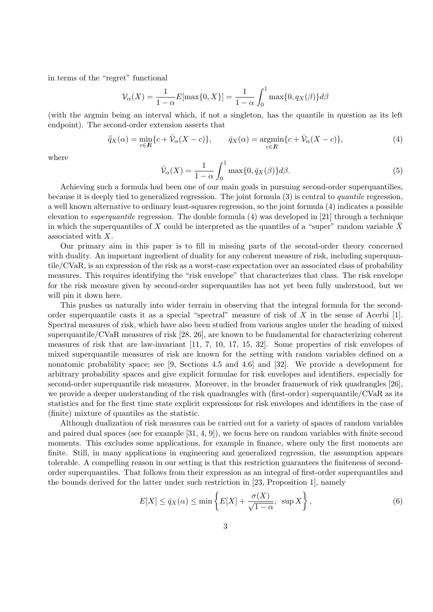in terms of the "regret" functional

$$
\mathcal{V}_{\alpha}(X) = \frac{1}{1 - \alpha} E[\max\{0, X\}] = \frac{1}{1 - \alpha} \int_0^1 \max\{0, q_X(\beta)\} d\beta
$$

(with the argmin being an interval which, if not a singleton, has the quantile in question as its left endpoint). The second-order extension asserts that

$$
\bar{q}_X(\alpha) = \min_{c \in \mathbb{R}} \{c + \bar{\mathcal{V}}_{\alpha}(X - c)\}, \qquad \bar{q}_X(\alpha) = \operatorname*{argmin}_{c \in \mathbb{R}} \{c + \bar{\mathcal{V}}_{\alpha}(X - c)\},\tag{4}
$$

where

$$
\bar{\mathcal{V}}_{\alpha}(X) = \frac{1}{1-\alpha} \int_0^1 \max\{0, \bar{q}_X(\beta)\} d\beta. \tag{5}
$$

Achieving such a formula had been one of our main goals in pursuing second-order superquantilies, because it is deeply tied to generalized regression. The joint formula (3) is central to *quantile* regression, a well known alternative to ordinary least-squares regression, so the joint formula (4) indicates a possible elevation to *superquantile* regression. The double formula (4) was developed in [21] through a technique in which the superquantiles of *X* could be interpreted as the quantiles of a "super" random variable  $\bar{X}$ associated with *X*.

Our primary aim in this paper is to fill in missing parts of the second-order theory concerned with duality. An important ingredient of duality for any coherent measure of risk, including superquantile/CVaR, is an expression of the risk as a worst-case expectation over an associated class of probability measures. This requires identifying the "risk envelope" that characterizes that class. The risk envelope for the risk measure given by second-order superquantiles has not yet been fully understood, but we will pin it down here.

This pushes us naturally into wider terrain in observing that the integral formula for the secondorder superquantile casts it as a special "spectral" measure of risk of *X* in the sense of Acerbi [1]. Spectral measures of risk, which have also been studied from various angles under the heading of mixed superquantile/CVaR measures of risk [28, 26], are known to be fundamental for characterizing coherent measures of risk that are law-invariant [11, 7, 10, 17, 15, 32]. Some properties of risk envelopes of mixed superquantile measures of risk are known for the setting with random variables defined on a nonatomic probability space; see [9, Sections 4.5 and 4.6] and [32]. We provide a development for arbitrary probability spaces and give explicit formulae for risk envelopes and identifiers, especially for second-order superquantile risk measures. Moreover, in the broader framework of risk quadrangles [26], we provide a deeper understanding of the risk quadrangles with (first-order) superquantile/CVaR as its statistics and for the first time state explicit expressions for risk envelopes and identifiers in the case of (finite) mixture of quantiles as the statistic.

Although dualization of risk measures can be carried out for a variety of spaces of random variables and paired dual spaces (see for example [31, 4, 9]), we focus here on random variables with finite second moments. This excludes some applications, for example in finance, where only the first moments are finite. Still, in many applications in engineering and generalized regression, the assumption appears tolerable. A compelling reason in our setting is that this restriction guarantees the finiteness of secondorder superquantiles. That follows from their expression as an integral of first-order superquantiles and the bounds derived for the latter under such restriction in [23, Proposition 1], namely

$$
E[X] \le \bar{q}_X(\alpha) \le \min\left\{E[X] + \frac{\sigma(X)}{\sqrt{1-\alpha}}, \sup X\right\},\tag{6}
$$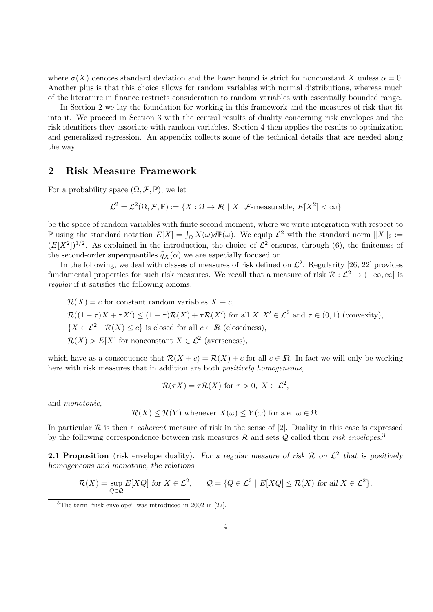where  $\sigma(X)$  denotes standard deviation and the lower bound is strict for nonconstant X unless  $\alpha = 0$ . Another plus is that this choice allows for random variables with normal distributions, whereas much of the literature in finance restricts consideration to random variables with essentially bounded range.

In Section 2 we lay the foundation for working in this framework and the measures of risk that fit into it. We proceed in Section 3 with the central results of duality concerning risk envelopes and the risk identifiers they associate with random variables. Section 4 then applies the results to optimization and generalized regression. An appendix collects some of the technical details that are needed along the way.

#### **2 Risk Measure Framework**

For a probability space  $(\Omega, \mathcal{F}, \mathbb{P})$ , we let

$$
\mathcal{L}^2 = \mathcal{L}^2(\Omega, \mathcal{F}, \mathbb{P}) := \{ X : \Omega \to \mathbb{R} \mid X \text{ } \mathcal{F}\text{-measurable, } E[X^2] < \infty \}
$$

be the space of random variables with finite second moment, where we write integration with respect to  $\mathbb{P}$  using the standard notation  $E[X] = \int_{\Omega} X(\omega) d\mathbb{P}(\omega)$ . We equip  $\mathcal{L}^2$  with the standard norm  $||X||_2$  :=  $(E[X^2])^{1/2}$ . As explained in the introduction, the choice of  $\mathcal{L}^2$  ensures, through (6), the finiteness of the second-order superquantiles  $\bar{q}_X(\alpha)$  we are especially focused on.

In the following, we deal with classes of measures of risk defined on  $\mathcal{L}^2$ . Regularity [26, 22] provides fundamental properties for such risk measures. We recall that a measure of risk  $\mathcal{R}: L^2 \to (-\infty, \infty]$  is *regular* if it satisfies the following axioms:

$$
\mathcal{R}(X) = c
$$
 for constant random variables  $X \equiv c$ ,  $\mathcal{R}((1 - \tau)X + \tau X') \leq (1 - \tau)\mathcal{R}(X) + \tau \mathcal{R}(X')$  for all  $X, X' \in \mathcal{L}^2$  and  $\tau \in (0, 1)$  (convexity),  $\{X \in \mathcal{L}^2 \mid \mathcal{R}(X) \leq c\}$  is closed for all  $c \in \mathbb{R}$  (closedness),  $\mathcal{R}(X) > E[X]$  for nonconstant  $X \in \mathcal{L}^2$  (averseness),

which have as a consequence that  $\mathcal{R}(X+c) = \mathcal{R}(X) + c$  for all  $c \in \mathbb{R}$ . In fact we will only be working here with risk measures that in addition are both *positively homogeneous*,

$$
\mathcal{R}(\tau X) = \tau \mathcal{R}(X) \text{ for } \tau > 0, X \in \mathcal{L}^2,
$$

and *monotonic*,

$$
\mathcal{R}(X) \leq \mathcal{R}(Y)
$$
 whenever  $X(\omega) \leq Y(\omega)$  for a.e.  $\omega \in \Omega$ .

In particular *R* is then a *coherent* measure of risk in the sense of [2]. Duality in this case is expressed by the following correspondence between risk measures *R* and sets *Q* called their *risk envelopes*. 3

**2.1 Proposition** (risk envelope duality). For a regular measure of risk  $\mathcal{R}$  on  $\mathcal{L}^2$  that is positively *homogeneous and monotone, the relations*

$$
\mathcal{R}(X) = \sup_{Q \in \mathcal{Q}} E[XQ] \text{ for } X \in \mathcal{L}^2, \qquad \mathcal{Q} = \{Q \in \mathcal{L}^2 \mid E[XQ] \le \mathcal{R}(X) \text{ for all } X \in \mathcal{L}^2\},
$$

<sup>3</sup>The term "risk envelope" was introduced in 2002 in [27].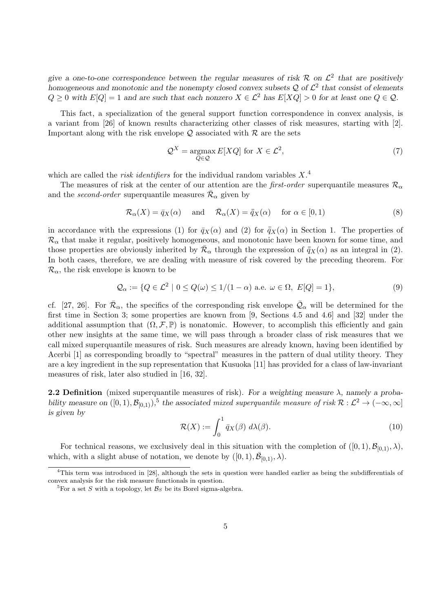give a one-to-one correspondence between the regular measures of risk  $\mathcal{R}$  on  $\mathcal{L}^2$  that are positively *homogeneous and monotonic and the nonempty closed convex subsets Q of L* 2 *that consist of elements*  $Q \geq 0$  *with*  $E[Q] = 1$  *and are such that each nonzero*  $X \in \mathcal{L}^2$  *has*  $E[XQ] > 0$  *for at least one*  $Q \in \mathcal{Q}$ *.* 

This fact, a specialization of the general support function correspondence in convex analysis, is a variant from [26] of known results characterizing other classes of risk measures, starting with [2]. Important along with the risk envelope  $Q$  associated with  $R$  are the sets

$$
\mathcal{Q}^X = \underset{Q \in \mathcal{Q}}{\operatorname{argmax}} E[XQ] \text{ for } X \in \mathcal{L}^2,\tag{7}
$$

which are called the *risk identifiers* for the individual random variables *X*. 4

The measures of risk at the center of our attention are the *first-order* superquantile measures  $\mathcal{R}_{\alpha}$ and the *second-order* superquantile measures  $\bar{\mathcal{R}}_{\alpha}$  given by

$$
\mathcal{R}_{\alpha}(X) = \bar{q}_X(\alpha) \quad \text{and} \quad \bar{\mathcal{R}}_{\alpha}(X) = \bar{\bar{q}}_X(\alpha) \quad \text{for } \alpha \in [0, 1)
$$
 (8)

in accordance with the expressions (1) for  $\bar{q}_X(\alpha)$  and (2) for  $\bar{q}_X(\alpha)$  in Section 1. The properties of  $\mathcal{R}_{\alpha}$  that make it regular, positively homogeneous, and monotonic have been known for some time, and those properties are obviously inherited by  $\bar{\mathcal{R}}_{\alpha}$  through the expression of  $\bar{q}_X(\alpha)$  as an integral in (2). In both cases, therefore, we are dealing with measure of risk covered by the preceding theorem. For  $\mathcal{R}_{\alpha}$ , the risk envelope is known to be

$$
\mathcal{Q}_{\alpha} := \{ Q \in \mathcal{L}^2 \mid 0 \le Q(\omega) \le 1/(1-\alpha) \text{ a.e. } \omega \in \Omega, E[Q] = 1 \},\tag{9}
$$

cf. [27, 26]. For  $\bar{\mathcal{R}}_{\alpha}$ , the specifics of the corresponding risk envelope  $\bar{\mathcal{Q}}_{\alpha}$  will be determined for the first time in Section 3; some properties are known from [9, Sections 4.5 and 4.6] and [32] under the additional assumption that  $(\Omega, \mathcal{F}, \mathbb{P})$  is nonatomic. However, to accomplish this efficiently and gain other new insights at the same time, we will pass through a broader class of risk measures that we call mixed superquantile measures of risk. Such measures are already known, having been identified by Acerbi [1] as corresponding broadly to "spectral" measures in the pattern of dual utility theory. They are a key ingredient in the sup representation that Kusuoka [11] has provided for a class of law-invariant measures of risk, later also studied in [16, 32].

**2.2 Definition** (mixed superquantile measures of risk). For a weighting measure  $\lambda$ , namely a proba*bility measure on*  $([0,1), \mathcal{B}_{[0,1)})$ <sup>5</sup>, the associated *mixed superquantile measure of risk*  $\mathcal{R}: \mathcal{L}^2 \to (-\infty, \infty]$ *is given by*

$$
\mathcal{R}(X) := \int_0^1 \bar{q}_X(\beta) \ d\lambda(\beta). \tag{10}
$$

For technical reasons, we exclusively deal in this situation with the completion of  $([0,1), \mathcal{B}_{[0,1)}, \lambda)$ , which, with a slight abuse of notation, we denote by  $([0, 1), \overline{\mathcal{B}}_{[0,1)}, \lambda)$ .

<sup>4</sup>This term was introduced in [28], although the sets in question were handled earlier as being the subdifferentials of convex analysis for the risk measure functionals in question.

<sup>&</sup>lt;sup>5</sup>For a set *S* with a topology, let  $\mathcal{B}_S$  be its Borel sigma-algebra.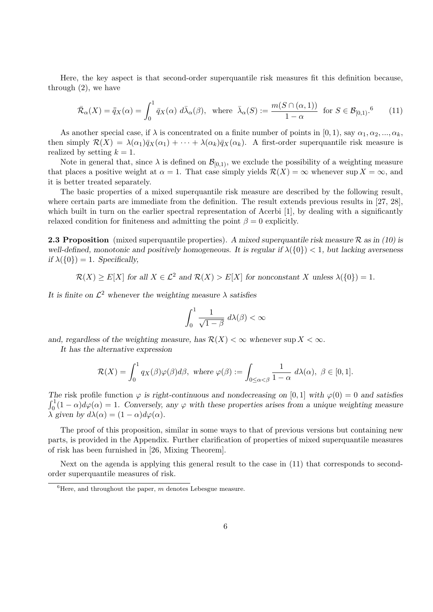Here, the key aspect is that second-order superquantile risk measures fit this definition because, through (2), we have

$$
\bar{\mathcal{R}}_{\alpha}(X) = \bar{\bar{q}}_{X}(\alpha) = \int_{0}^{1} \bar{q}_{X}(\alpha) d\bar{\lambda}_{\alpha}(\beta), \text{ where } \bar{\lambda}_{\alpha}(S) := \frac{m(S \cap (\alpha, 1))}{1 - \alpha} \text{ for } S \in \mathcal{B}_{[0,1)}.
$$
<sup>6</sup> (11)

As another special case, if  $\lambda$  is concentrated on a finite number of points in [0, 1], say  $\alpha_1, \alpha_2, ..., \alpha_k$ , then simply  $\mathcal{R}(X) = \lambda(\alpha_1)\bar{q}_X(\alpha_1) + \cdots + \lambda(\alpha_k)\bar{q}_X(\alpha_k)$ . A first-order superquantile risk measure is realized by setting  $k = 1$ .

Note in general that, since  $\lambda$  is defined on  $\mathcal{B}_{[0,1)}$ , we exclude the possibility of a weighting measure that places a positive weight at  $\alpha = 1$ . That case simply yields  $\mathcal{R}(X) = \infty$  whenever sup  $X = \infty$ , and it is better treated separately.

The basic properties of a mixed superquantile risk measure are described by the following result, where certain parts are immediate from the definition. The result extends previous results in [27, 28], which built in turn on the earlier spectral representation of Acerbi [1], by dealing with a significantly relaxed condition for finiteness and admitting the point  $\beta = 0$  explicitly.

**2.3 Proposition** (mixed superquantile properties). *A mixed superquantile risk measure R as in (10) is well-defined, monotonic and positively homogeneous. It is regular if*  $\lambda({0}) < 1$ , but lacking averseness *if*  $\lambda({0}) = 1$ *. Specifically,* 

$$
\mathcal{R}(X) \ge E[X]
$$
 for all  $X \in \mathcal{L}^2$  and  $\mathcal{R}(X) > E[X]$  for nonconstant X unless  $\lambda(\{0\}) = 1$ .

*It is finite on*  $\mathcal{L}^2$  *whenever the weighting measure*  $\lambda$  *satisfies* 

$$
\int_0^1 \frac{1}{\sqrt{1-\beta}} \ d\lambda(\beta) < \infty
$$

*and, regardless of the weighting measure, has*  $\mathcal{R}(X) < \infty$  *whenever* sup  $X < \infty$ *.* 

*It has the alternative expression*

$$
\mathcal{R}(X) = \int_0^1 q_X(\beta)\varphi(\beta)d\beta, \text{ where } \varphi(\beta) := \int_{0 \le \alpha < \beta} \frac{1}{1 - \alpha} \, d\lambda(\alpha), \ \beta \in [0, 1].
$$

*The* risk profile function  $\varphi$  *is right-continuous and nondecreasing on* [0, 1] *with*  $\varphi(0) = 0$  *and satisfies*  $\int_0^1 (1 - \alpha) d\varphi(\alpha) = 1$ . Conversely, any  $\varphi$  with these properties arises from a unique weighting measure  $\lambda$  *given by*  $d\lambda(\alpha) = (1 - \alpha)d\varphi(\alpha)$ *.* 

The proof of this proposition, similar in some ways to that of previous versions but containing new parts, is provided in the Appendix. Further clarification of properties of mixed superquantile measures of risk has been furnished in [26, Mixing Theorem].

Next on the agenda is applying this general result to the case in (11) that corresponds to secondorder superquantile measures of risk.

 ${}^{6}$ Here, and throughout the paper,  $m$  denotes Lebesgue measure.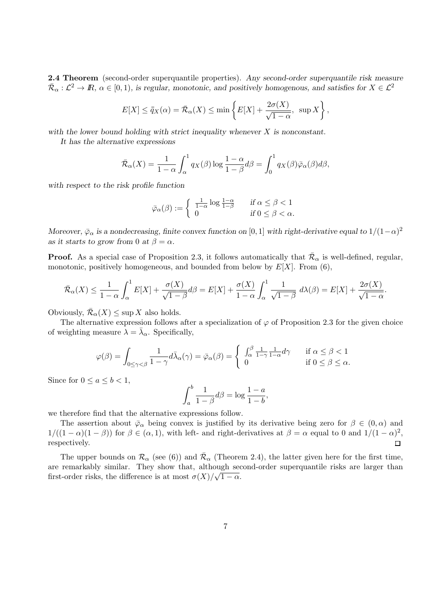**2.4 Theorem** (second-order superquantile properties). *Any second-order superquantile risk measure*  $\overline{\mathcal{R}}_{\alpha}: \mathcal{L}^2 \to \mathbb{R}, \ \alpha \in [0,1), \text{ is regular, monotonic, and positively homogeneous, and satisfies for } X \in \mathcal{L}^2$ 

$$
E[X] \le \overline{q}_X(\alpha) = \overline{\mathcal{R}}_{\alpha}(X) \le \min\left\{E[X] + \frac{2\sigma(X)}{\sqrt{1-\alpha}}, \sup X\right\},\
$$

*with the lower bound holding with strict inequality whenever X is nonconstant.*

*It has the alternative expressions*

$$
\bar{\mathcal{R}}_{\alpha}(X) = \frac{1}{1-\alpha} \int_{\alpha}^{1} q_X(\beta) \log \frac{1-\alpha}{1-\beta} d\beta = \int_{0}^{1} q_X(\beta) \bar{\varphi}_{\alpha}(\beta) d\beta,
$$

*with respect to the risk profile function*

$$
\bar{\varphi}_{\alpha}(\beta) := \begin{cases} \frac{1}{1-\alpha} \log \frac{1-\alpha}{1-\beta} & \text{if } \alpha \le \beta < 1 \\ 0 & \text{if } 0 \le \beta < \alpha. \end{cases}
$$

*Moreover,*  $\bar{\varphi}_{\alpha}$  *is a nondecreasing, finite convex function on* [0*,* 1] *with right-derivative equal to*  $1/(1-\alpha)^2$ *as it starts to grow from* 0 *at*  $\beta = \alpha$ *.* 

**Proof.** As a special case of Proposition 2.3, it follows automatically that  $\bar{\mathcal{R}}_{\alpha}$  is well-defined, regular, monotonic, positively homogeneous, and bounded from below by  $E[X]$ . From  $(6)$ ,

$$
\bar{\mathcal{R}}_{\alpha}(X) \le \frac{1}{1-\alpha} \int_{\alpha}^{1} E[X] + \frac{\sigma(X)}{\sqrt{1-\beta}} d\beta = E[X] + \frac{\sigma(X)}{1-\alpha} \int_{\alpha}^{1} \frac{1}{\sqrt{1-\beta}} d\lambda(\beta) = E[X] + \frac{2\sigma(X)}{\sqrt{1-\alpha}}.
$$

Obviously,  $\overline{\mathcal{R}}_{\alpha}(X) \leq \sup X$  also holds.

The alternative expression follows after a specialization of  $\varphi$  of Proposition 2.3 for the given choice of weighting measure  $\lambda = \bar{\lambda}_{\alpha}$ . Specifically,

$$
\varphi(\beta) = \int_{0 \le \gamma < \beta} \frac{1}{1 - \gamma} d\bar{\lambda}_{\alpha}(\gamma) = \bar{\varphi}_{\alpha}(\beta) = \begin{cases} \int_{\alpha}^{\beta} \frac{1}{1 - \gamma} \frac{1}{1 - \alpha} d\gamma & \text{if } \alpha \le \beta < 1 \\ 0 & \text{if } 0 \le \beta \le \alpha. \end{cases}
$$

Since for  $0 \le a \le b < 1$ ,

$$
\int_a^b \frac{1}{1-\beta} d\beta = \log \frac{1-a}{1-b},
$$

we therefore find that the alternative expressions follow.

The assertion about  $\bar{\varphi}_{\alpha}$  being convex is justified by its derivative being zero for  $\beta \in (0, \alpha)$  and  $1/((1 - \alpha)(1 - \beta))$  for  $\beta \in (\alpha, 1)$ , with left- and right-derivatives at  $\beta = \alpha$  equal to 0 and  $1/(1 - \alpha)^2$ , respectively.  $\Box$ 

The upper bounds on  $\mathcal{R}_{\alpha}$  (see (6)) and  $\overline{\mathcal{R}}_{\alpha}$  (Theorem 2.4), the latter given here for the first time, are remarkably similar. They show that, although second-order superquantile risks are larger than first-order risks, the difference is at most  $\sigma(X)/\sqrt{1-\alpha}$ .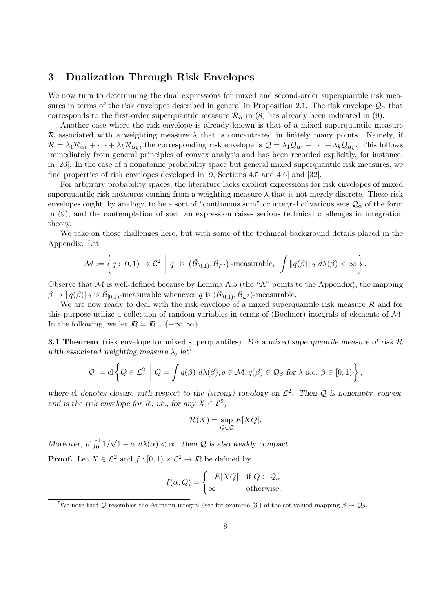#### **3 Dualization Through Risk Envelopes**

We now turn to determining the dual expressions for mixed and second-order superquantile risk measures in terms of the risk envelopes described in general in Proposition 2.1. The risk envelope  $\mathcal{Q}_\alpha$  that corresponds to the first-order superquantile measure  $\mathcal{R}_{\alpha}$  in (8) has already been indicated in (9).

Another case where the risk envelope is already known is that of a mixed superquantile measure *R* associated with a weighting measure  $\lambda$  that is concentrated in finitely many points. Namely, if  $\mathcal{R} = \lambda_1 \mathcal{R}_{\alpha_1} + \cdots + \lambda_k \mathcal{R}_{\alpha_k}$ , the corresponding risk envelope is  $\mathcal{Q} = \lambda_1 \mathcal{Q}_{\alpha_1} + \cdots + \lambda_k \mathcal{Q}_{\alpha_k}$ . This follows immediately from general principles of convex analysis and has been recorded explicitly, for instance, in [26]. In the case of a nonatomic probability space but general mixed superquantile risk measures, we find properties of risk envelopes developed in [9, Sections 4.5 and 4.6] and [32].

For arbitrary probability spaces, the literature lacks explicit expressions for risk envelopes of mixed superquantile risk measures coming from a weighting measure  $\lambda$  that is not merely discrete. These risk envelopes ought, by analogy, to be a sort of "continuous sum" or integral of various sets  $\mathcal{Q}_{\alpha}$  of the form in (9), and the contemplation of such an expression raises serious technical challenges in integration theory.

We take on those challenges here, but with some of the technical background details placed in the Appendix. Let

$$
\mathcal{M} := \left\{ q : [0,1) \to \mathcal{L}^2 \middle| q \text{ is } (\bar{\mathcal{B}}_{[0,1)}, \mathcal{B}_{\mathcal{L}^2}) \text{-measurable, } \int ||q(\beta)||_2 \ d\lambda(\beta) < \infty \right\}.
$$

Observe that  $M$  is well-defined because by Lemma A.5 (the "A" points to the Appendix), the mapping  $\beta \mapsto ||q(\beta)||_2$  is  $\overline{\mathcal{B}}_{[0,1)}$ -measurable whenever *q* is  $(\overline{\mathcal{B}}_{[0,1)}, \mathcal{B}_{\mathcal{L}^2})$ -measurable.

We are now ready to deal with the risk envelope of a mixed superquantile risk measure *R* and for this purpose utilize a collection of random variables in terms of (Bochner) integrals of elements of *M*. In the following, we let  $\overline{R} = R \cup \{-\infty, \infty\}.$ 

**3.1 Theorem** (risk envelope for mixed superquantiles). *For a mixed superquantile measure of risk R with associated weighting measure*  $\lambda$ , let<sup>7</sup>

$$
Q := \mathrm{cl}\left\{Q \in \mathcal{L}^2 \middle| Q = \int q(\beta) \ d\lambda(\beta), q \in \mathcal{M}, q(\beta) \in \mathcal{Q}_{\beta} \ \mathrm{for} \ \lambda\text{-a.e.} \ \beta \in [0,1) \right\},\
$$

where cl denotes closure with respect to the (strong) topology on  $\mathcal{L}^2$ . Then  $\mathcal Q$  is nonempty, convex, *and is the risk envelope for*  $\mathcal{R}$ *, i.e., for any*  $X \in \mathcal{L}^2$ *,* 

$$
\mathcal{R}(X) = \sup_{Q \in \mathcal{Q}} E[XQ].
$$

*Moreover, if*  $\int_0^1 1$ / *√*  $1 - \alpha \ d\lambda(\alpha) < \infty$ , then Q is also weakly compact.

**Proof.** Let  $X \in \mathcal{L}^2$  and  $f : [0, 1) \times \mathcal{L}^2 \rightarrow \overline{R}$  be defined by

$$
f(\alpha, Q) = \begin{cases} -E[XQ] & \text{if } Q \in \mathcal{Q}_{\alpha} \\ \infty & \text{otherwise.} \end{cases}
$$

<sup>&</sup>lt;sup>7</sup>We note that *Q* resembles the Aumann integral (see for example [3]) of the set-valued mapping  $\beta \mapsto Q_{\beta}$ .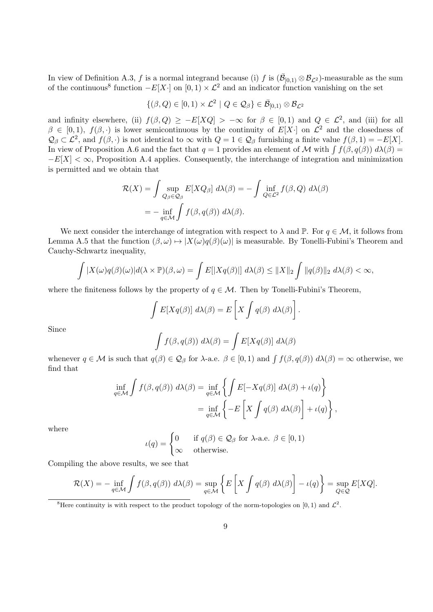In view of Definition A.3, *f* is a normal integrand because (i) *f* is  $(\bar{\mathcal{B}}_{[0,1)} \otimes \mathcal{B}_{\mathcal{L}^2})$ -measurable as the sum of the continuous<sup>8</sup> function  $-F[X \cdot]$  on  $[0,1) \times \mathcal{L}^2$  and an indicator function vanishing on the set

$$
\{(\beta,Q)\in[0,1)\times\mathcal{L}^2\mid Q\in\mathcal{Q}_{\beta}\}\in\bar{\mathcal{B}}_{[0,1)}\otimes\mathcal{B}_{\mathcal{L}^2}
$$

and infinity elsewhere, (ii)  $f(\beta, Q) \ge -E[XQ] > -\infty$  for  $\beta \in [0,1)$  and  $Q \in \mathcal{L}^2$ , and (iii) for all  $\beta \in [0,1)$ ,  $f(\beta,\cdot)$  is lower semicontinuous by the continuity of  $E[X\cdot]$  on  $\mathcal{L}^2$  and the closedness of  $\mathcal{Q}_{\beta} \subset \mathcal{L}^2$ , and  $f(\beta, \cdot)$  is not identical to  $\infty$  with  $Q = 1 \in \mathcal{Q}_{\beta}$  furnishing a finite value  $f(\beta, 1) = -E[X]$ . In view of Proposition A.6 and the fact that  $q = 1$  provides an element of *M* with  $\int f(\beta, q(\beta)) d\lambda(\beta) =$ *−E*[*X*] < ∞, Proposition A.4 applies. Consequently, the interchange of integration and minimization is permitted and we obtain that

$$
\mathcal{R}(X) = \int \sup_{Q_{\beta} \in \mathcal{Q}_{\beta}} E[XQ_{\beta}] d\lambda(\beta) = -\int \inf_{Q \in \mathcal{L}^2} f(\beta, Q) d\lambda(\beta)
$$

$$
= -\inf_{q \in \mathcal{M}} \int f(\beta, q(\beta)) d\lambda(\beta).
$$

We next consider the interchange of integration with respect to  $\lambda$  and  $\mathbb{P}$ . For  $q \in \mathcal{M}$ , it follows from Lemma A.5 that the function  $(\beta, \omega) \mapsto |X(\omega)q(\beta)(\omega)|$  is measurable. By Tonelli-Fubini's Theorem and Cauchy-Schwartz inequality,

$$
\int |X(\omega)q(\beta)(\omega)|d(\lambda \times \mathbb{P})(\beta, \omega) = \int E[|Xq(\beta)|] d\lambda(\beta) \leq ||X||_2 \int ||q(\beta)||_2 d\lambda(\beta) < \infty,
$$

where the finiteness follows by the property of  $q \in M$ . Then by Tonelli-Fubini's Theorem,

$$
\int E[Xq(\beta)] d\lambda(\beta) = E\left[X \int q(\beta) d\lambda(\beta)\right].
$$

Since

$$
\int f(\beta, q(\beta)) \ d\lambda(\beta) = \int E[Xq(\beta)] \ d\lambda(\beta)
$$

whenever  $q \in \mathcal{M}$  is such that  $q(\beta) \in \mathcal{Q}_{\beta}$  for  $\lambda$ -a.e.  $\beta \in [0,1)$  and  $\int f(\beta, q(\beta)) d\lambda(\beta) = \infty$  otherwise, we find that

$$
\inf_{q \in \mathcal{M}} \int f(\beta, q(\beta)) \ d\lambda(\beta) = \inf_{q \in \mathcal{M}} \left\{ \int E[-Xq(\beta)] \ d\lambda(\beta) + \iota(q) \right\}
$$

$$
= \inf_{q \in \mathcal{M}} \left\{ -E\left[X \int q(\beta) \ d\lambda(\beta)\right] + \iota(q) \right\},
$$

where

$$
\iota(q) = \begin{cases} 0 & \text{if } q(\beta) \in \mathcal{Q}_{\beta} \text{ for } \lambda\text{-a.e. } \beta \in [0,1) \\ \infty & \text{otherwise.} \end{cases}
$$

Compiling the above results, we see that

$$
\mathcal{R}(X) = -\inf_{q \in \mathcal{M}} \int f(\beta, q(\beta)) \ d\lambda(\beta) = \sup_{q \in \mathcal{M}} \left\{ E \left[ X \int q(\beta) \ d\lambda(\beta) \right] - \iota(q) \right\} = \sup_{Q \in \mathcal{Q}} E[XQ].
$$

<sup>&</sup>lt;sup>8</sup>Here continuity is with respect to the product topology of the norm-topologies on [0, 1) and  $\mathcal{L}^2$ .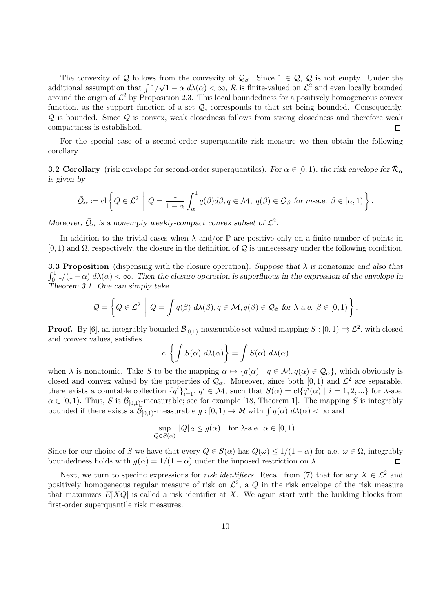The convexity of  $Q$  follows from the convexity of  $Q_\beta$ . Since  $1 \in Q$ ,  $Q$  is not empty. Under the *√* additional assumption that ∫ 1*/*  $\sqrt{1-\alpha} d\lambda(\alpha) < \infty$ ,  $\mathcal R$  is finite-valued on  $\mathcal L^2$  and even locally bounded around the origin of  $\mathcal{L}^2$  by Proposition 2.3. This local boundedness for a positively homogeneous convex function, as the support function of a set *Q*, corresponds to that set being bounded. Consequently, *Q* is bounded. Since *Q* is convex, weak closedness follows from strong closedness and therefore weak compactness is established.  $\Box$ 

For the special case of a second-order superquantile risk measure we then obtain the following corollary.

**3.2 Corollary** (risk envelope for second-order superquantiles). For  $\alpha \in [0, 1)$ , the risk envelope for  $\bar{\mathcal{R}}_{\alpha}$ *is given by*

$$
\bar{\mathcal{Q}}_{\alpha} := \mathrm{cl}\left\{Q \in \mathcal{L}^2 \middle| Q = \frac{1}{1-\alpha} \int_{\alpha}^1 q(\beta) d\beta, q \in \mathcal{M}, \ q(\beta) \in \mathcal{Q}_{\beta} \ \text{for } m\text{-a.e. } \beta \in [\alpha, 1) \right\}.
$$

*Moreover,*  $\overline{Q}_{\alpha}$  *is a nonempty weakly-compact convex subset of*  $\mathcal{L}^2$ *.* 

In addition to the trivial cases when  $\lambda$  and/or  $\mathbb P$  are positive only on a finite number of points in [0*,* 1) and Ω, respectively, the closure in the definition of *Q* is unnecessary under the following condition.

**3.3 Proposition** (dispensing with the closure operation). *Suppose that λ is nonatomic and also that*  $\int_0^1 1/(1-\alpha) d\lambda(\alpha) < \infty$ . Then the closure operation is superfluous in the expression of the envelope in *Theorem 3.1. One can simply take*

$$
Q = \left\{ Q \in \mathcal{L}^2 \middle| Q = \int q(\beta) \ d\lambda(\beta), q \in \mathcal{M}, q(\beta) \in Q_\beta \ \text{for } \lambda\text{-a.e. } \beta \in [0,1) \right\}.
$$

**Proof.** By [6], an integrably bounded  $\bar{\mathcal{B}}_{[0,1)}$ -measurable set-valued mapping  $S : [0,1) \rightrightarrows \mathcal{L}^2$ , with closed and convex values, satisfies

$$
\operatorname{cl}\left\{\int S(\alpha)\ d\lambda(\alpha)\right\} = \int S(\alpha)\ d\lambda(\alpha)
$$

when  $\lambda$  is nonatomic. Take *S* to be the mapping  $\alpha \mapsto \{q(\alpha) \mid q \in \mathcal{M}, q(\alpha) \in \mathcal{Q}_{\alpha}\}\)$ , which obviously is closed and convex valued by the properties of  $\mathcal{Q}_{\alpha}$ . Moreover, since both [0, 1) and  $\mathcal{L}^2$  are separable, there exists a countable collection  $\{q^i\}_{i=1}^{\infty}$ ,  $q^i \in \mathcal{M}$ , such that  $S(\alpha) = \text{cl}\{q^i(\alpha) \mid i = 1, 2, ...\}$  for  $\lambda$ -a.e.  $\alpha \in [0,1)$ . Thus, *S* is  $\bar{\mathcal{B}}_{[0,1)}$ -measurable; see for example [18, Theorem 1]. The mapping *S* is integrably bounded if there exists a  $\mathcal{B}_{[0,1)}$ -measurable  $g: [0,1) \to \mathbb{R}$  with  $\int g(\alpha) d\lambda(\alpha) < \infty$  and

$$
\sup_{Q \in S(\alpha)} ||Q||_2 \le g(\alpha) \quad \text{for } \lambda\text{-a.e. } \alpha \in [0, 1).
$$

Since for our choice of *S* we have that every  $Q \in S(\alpha)$  has  $Q(\omega) \leq 1/(1-\alpha)$  for a.e.  $\omega \in \Omega$ , integrably boundedness holds with  $g(\alpha) = 1/(1 - \alpha)$  under the imposed restriction on  $\lambda$ .  $\Box$ 

Next, we turn to specific expressions for *risk identifiers*. Recall from (7) that for any  $X \in \mathcal{L}^2$  and positively homogeneous regular measure of risk on  $\mathcal{L}^2$ , a  $Q$  in the risk envelope of the risk measure that maximizes  $E[XQ]$  is called a risk identifier at X. We again start with the building blocks from first-order superquantile risk measures.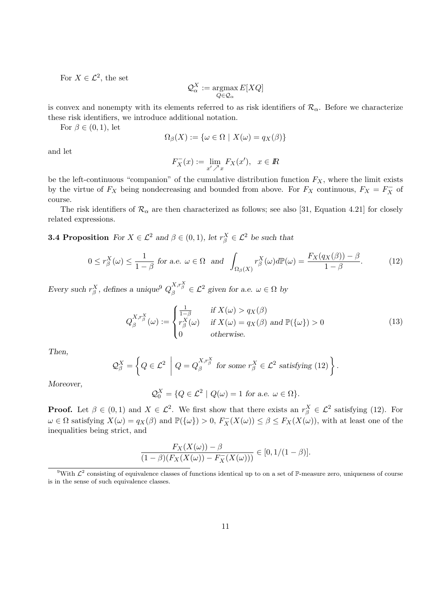For  $X \in \mathcal{L}^2$ , the set

$$
\mathcal{Q}^X_\alpha := \operatornamewithlimits{argmax}_{Q\in \mathcal{Q}_\alpha} E[XQ]
$$

is convex and nonempty with its elements referred to as risk identifiers of  $\mathcal{R}_{\alpha}$ . Before we characterize these risk identifiers, we introduce additional notation.

For  $\beta \in (0,1)$ , let

$$
\Omega_{\beta}(X) := \{ \omega \in \Omega \mid X(\omega) = q_X(\beta) \}
$$

and let

$$
F_X^-(x) := \lim_{x' \nearrow x} F_X(x'), \quad x \in \mathbb{R}
$$

be the left-continuous "companion" of the cumulative distribution function  $F_X$ , where the limit exists by the virtue of  $F_X$  being nondecreasing and bounded from above. For  $F_X$  continuous,  $F_X = F_X^-$  of course.

The risk identifiers of  $\mathcal{R}_{\alpha}$  are then characterized as follows; see also [31, Equation 4.21] for closely related expressions.

**3.4 Proposition** *For*  $X \in \mathcal{L}^2$  *and*  $\beta \in (0,1)$ *, let*  $r_{\beta}^X \in \mathcal{L}^2$  *be such that* 

$$
0 \le r_{\beta}^{X}(\omega) \le \frac{1}{1-\beta} \text{ for a.e. } \omega \in \Omega \text{ and } \int_{\Omega_{\beta}(X)} r_{\beta}^{X}(\omega) d\mathbb{P}(\omega) = \frac{F_{X}(q_{X}(\beta)) - \beta}{1-\beta}.
$$
 (12)

*Every such*  $r_{\beta}^X$ , defines a unique<sup>9</sup>  $Q_{\beta}^{X,r_{\beta}^X} \in \mathcal{L}^2$  given for a.e.  $\omega \in \Omega$  by

$$
Q_{\beta}^{X,r_{\beta}^{X}}(\omega) := \begin{cases} \frac{1}{1-\beta} & \text{if } X(\omega) > q_{X}(\beta) \\ r_{\beta}^{X}(\omega) & \text{if } X(\omega) = q_{X}(\beta) \text{ and } \mathbb{P}(\{\omega\}) > 0 \\ 0 & \text{otherwise.} \end{cases}
$$
(13)

*Then,*

$$
\mathcal{Q}_{\beta}^{X} = \left\{ Q \in \mathcal{L}^{2} \middle| Q = Q_{\beta}^{X,r_{\beta}^{X}} \text{ for some } r_{\beta}^{X} \in \mathcal{L}^{2} \text{ satisfying (12)} \right\}.
$$

*Moreover,*

$$
\mathcal{Q}_{0}^{X} = \{Q \in \mathcal{L}^{2} \mid Q(\omega) = 1 \text{ for a.e. } \omega \in \Omega\}.
$$

**Proof.** Let  $\beta \in (0,1)$  and  $X \in \mathcal{L}^2$ . We first show that there exists an  $r_{\beta}^X \in \mathcal{L}^2$  satisfying (12). For  $\omega \in \Omega$  satisfying  $X(\omega) = q_X(\beta)$  and  $\mathbb{P}(\{\omega\}) > 0$ ,  $F_X^-(X(\omega)) \leq \beta \leq F_X(X(\omega))$ , with at least one of the inequalities being strict, and

$$
\frac{F_X(X(\omega)) - \beta}{(1 - \beta)(F_X(X(\omega)) - F_X(X(\omega)))} \in [0, 1/(1 - \beta)].
$$

<sup>&</sup>lt;sup>9</sup>With  $\mathcal{L}^2$  consisting of equivalence classes of functions identical up to on a set of P-measure zero, uniqueness of course is in the sense of such equivalence classes.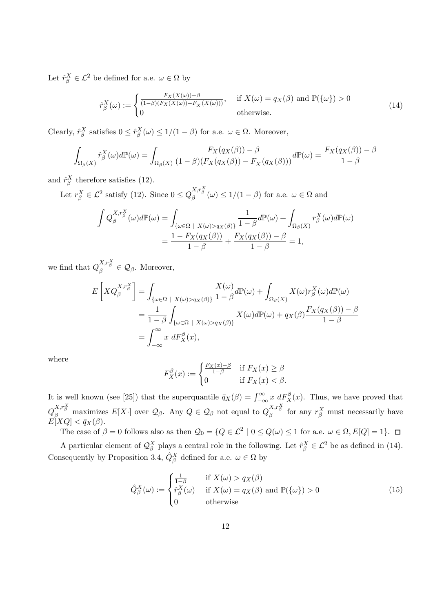Let  $\hat{r}^X_\beta \in \mathcal{L}^2$  be defined for a.e.  $\omega \in \Omega$  by

$$
\hat{r}_{\beta}^{X}(\omega) := \begin{cases} \frac{F_{X}(X(\omega)) - \beta}{(1 - \beta)(F_{X}(X(\omega)) - F_{X}(X(\omega)))}, & \text{if } X(\omega) = q_{X}(\beta) \text{ and } \mathbb{P}(\{\omega\}) > 0\\ 0 & \text{otherwise.} \end{cases}
$$
(14)

Clearly,  $\hat{r}^X_\beta$  satisfies  $0 \leq \hat{r}^X_\beta(\omega) \leq 1/(1-\beta)$  for a.e.  $\omega \in \Omega$ . Moreover,

$$
\int_{\Omega_{\beta}(X)} \hat{r}_{\beta}^{X}(\omega)d\mathbb{P}(\omega) = \int_{\Omega_{\beta}(X)} \frac{F_{X}(q_{X}(\beta)) - \beta}{(1 - \beta)(F_{X}(q_{X}(\beta)) - F_{X}^{-}(q_{X}(\beta)))} d\mathbb{P}(\omega) = \frac{F_{X}(q_{X}(\beta)) - \beta}{1 - \beta}
$$

and  $\hat{r}^X_\beta$  therefore satisfies (12).

Let  $r_{\beta}^X \in \mathcal{L}^2$  satisfy (12). Since  $0 \le Q_{\beta}^{X,r_{\beta}^X}(\omega) \le 1/(1-\beta)$  for a.e.  $\omega \in \Omega$  and

$$
\int Q_{\beta}^{X,r_{\beta}^{X}}(\omega)d\mathbb{P}(\omega) = \int_{\{\omega \in \Omega \; | \; X(\omega) > q_{X}(\beta)\}} \frac{1}{1-\beta} d\mathbb{P}(\omega) + \int_{\Omega_{\beta}(X)} r_{\beta}^{X}(\omega)d\mathbb{P}(\omega)
$$
\n
$$
= \frac{1 - F_{X}(q_{X}(\beta))}{1-\beta} + \frac{F_{X}(q_{X}(\beta)) - \beta}{1-\beta} = 1,
$$

we find that  $Q_{\beta}^{X,r_{\beta}^X} \in \mathcal{Q}_{\beta}$ . Moreover,

$$
E\left[XQ_{\beta}^{X,r_{\beta}^{X}}\right] = \int_{\{\omega \in \Omega \; | \; X(\omega) > q_{X}(\beta)\}} \frac{X(\omega)}{1-\beta} d\mathbb{P}(\omega) + \int_{\Omega_{\beta}(X)} X(\omega) r_{\beta}^{X}(\omega) d\mathbb{P}(\omega) \\
= \frac{1}{1-\beta} \int_{\{\omega \in \Omega \; | \; X(\omega) > q_{X}(\beta)\}} X(\omega) d\mathbb{P}(\omega) + q_{X}(\beta) \frac{F_{X}(q_{X}(\beta)) - \beta}{1-\beta} \\
= \int_{-\infty}^{\infty} x \; dF_{X}^{\beta}(x),
$$

where

$$
F_X^{\beta}(x) := \begin{cases} \frac{F_X(x) - \beta}{1 - \beta} & \text{if } F_X(x) \ge \beta\\ 0 & \text{if } F_X(x) < \beta. \end{cases}
$$

It is well known (see [25]) that the superquantile  $\bar{q}_X(\beta) = \int_{-\infty}^{\infty} x \ dF_X^{\beta}(x)$ . Thus, we have proved that  $Q_\beta^{X,r_\beta^X}$  maximizes  $E[X\cdot]$  over  $\mathcal{Q}_\beta$ . Any  $Q \in \mathcal{Q}_\beta$  not equal to  $Q_\beta^{X,r_\beta^X}$  for any  $r_\beta^X$  must necessarily have  $E[XQ] < \bar{q}_X(\beta)$ .

The case of  $\beta = 0$  follows also as then  $\mathcal{Q}_0 = \{Q \in \mathcal{L}^2 \mid 0 \leq Q(\omega) \leq 1 \text{ for a.e. } \omega \in \Omega, E[Q] = 1\}.$ 

A particular element of  $\mathcal{Q}_{\beta}^X$  plays a central role in the following. Let  $\hat{r}_{\beta}^X \in \mathcal{L}^2$  be as defined in (14). Consequently by Proposition 3.4,  $\hat{Q}^X_\beta$  defined for a.e.  $\omega \in \Omega$  by

$$
\hat{Q}_{\beta}^{X}(\omega) := \begin{cases} \frac{1}{1-\beta} & \text{if } X(\omega) > q_{X}(\beta) \\ \hat{r}_{\beta}^{X}(\omega) & \text{if } X(\omega) = q_{X}(\beta) \text{ and } \mathbb{P}(\{\omega\}) > 0 \\ 0 & \text{otherwise} \end{cases}
$$
(15)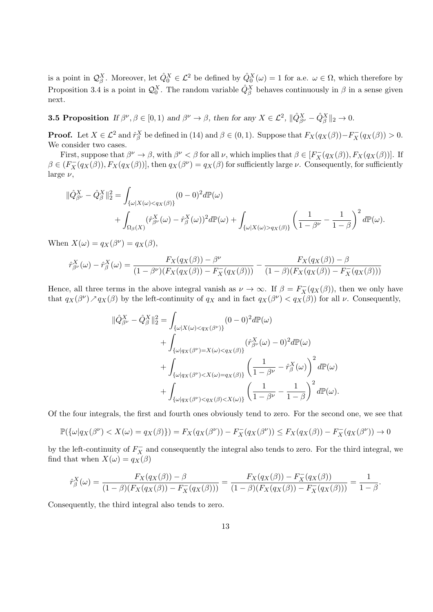is a point in  $\mathcal{Q}_{\beta}^X$ . Moreover, let  $\hat{Q}_0^X \in \mathcal{L}^2$  be defined by  $\hat{Q}_0^X(\omega) = 1$  for a.e.  $\omega \in \Omega$ , which therefore by Proposition 3.4 is a point in  $\mathcal{Q}_0^X$ . The random variable  $\hat{Q}_{\beta}^X$  behaves continuously in  $\beta$  in a sense given next.

**3.5 Proposition** If  $\beta^{\nu}, \beta \in [0, 1)$  and  $\beta^{\nu} \to \beta$ , then for any  $X \in \mathcal{L}^2$ ,  $\|\hat{Q}_{\beta^{\nu}}^X - \hat{Q}_{\beta}^X\|_2 \to 0$ .

**Proof.** Let  $X \in \mathcal{L}^2$  and  $\hat{r}_{\beta}^X$  be defined in (14) and  $\beta \in (0,1)$ . Suppose that  $F_X(q_X(\beta)) - F_X(q_X(\beta)) > 0$ . We consider two cases.

First, suppose that  $\beta^{\nu} \to \beta$ , with  $\beta^{\nu} < \beta$  for all  $\nu$ , which implies that  $\beta \in [F_X^-(q_X(\beta)), F_X(q_X(\beta))]$ . If  $\beta \in (F_X^-(q_X(\beta)), F_X(q_X(\beta))],$  then  $q_X(\beta^{\nu}) = q_X(\beta)$  for sufficiently large  $\nu$ . Consequently, for sufficiently large *ν*,

$$
\begin{split} \|\hat{Q}_{\beta^{\nu}}^{X} - \hat{Q}_{\beta}^{X}\|_{2}^{2} &= \int_{\{\omega|X(\omega)<\bar{q}_{X}(\beta)\}} (0-0)^{2} d\mathbb{P}(\omega) \\ &+ \int_{\Omega_{\beta}(X)} (\hat{r}_{\beta^{\nu}}^{X}(\omega) - \hat{r}_{\beta}^{X}(\omega))^{2} d\mathbb{P}(\omega) + \int_{\{\omega|X(\omega)>\bar{q}_{X}(\beta)\}} \left(\frac{1}{1-\beta^{\nu}} - \frac{1}{1-\beta}\right)^{2} d\mathbb{P}(\omega). \end{split}
$$

When  $X(\omega) = q_X(\beta^{\nu}) = q_X(\beta)$ ,

$$
\hat{r}_{\beta\nu}^{X}(\omega) - \hat{r}_{\beta}^{X}(\omega) = \frac{F_{X}(q_{X}(\beta)) - \beta^{\nu}}{(1 - \beta^{\nu})(F_{X}(q_{X}(\beta)) - F_{X}^{-}(q_{X}(\beta)))} - \frac{F_{X}(q_{X}(\beta)) - \beta}{(1 - \beta)(F_{X}(q_{X}(\beta)) - F_{X}^{-}(q_{X}(\beta)))}
$$

Hence, all three terms in the above integral vanish as  $\nu \to \infty$ . If  $\beta = F_X^-(q_X(\beta))$ , then we only have that  $q_X(\beta^{\nu}) \nearrow q_X(\beta)$  by the left-continuity of  $q_X$  and in fact  $q_X(\beta^{\nu}) < q_X(\beta)$  for all  $\nu$ . Consequently,

$$
\begin{split} \|\hat{Q}_{\beta^{\nu}}^{X} - \hat{Q}_{\beta}^{X}\|_{2}^{2} &= \int_{\{\omega|X(\omega) < q_{X}(\beta^{\nu})\}} (0-0)^{2} d\mathbb{P}(\omega) \\ &+ \int_{\{\omega|q_{X}(\beta^{\nu}) = X(\omega) < q_{X}(\beta)\}} (\hat{r}_{\beta^{\nu}}^{X}(\omega) - 0)^{2} d\mathbb{P}(\omega) \\ &+ \int_{\{\omega|q_{X}(\beta^{\nu}) < X(\omega) = q_{X}(\beta)\}} \left(\frac{1}{1-\beta^{\nu}} - \hat{r}_{\beta}^{X}(\omega)\right)^{2} d\mathbb{P}(\omega) \\ &+ \int_{\{\omega|q_{X}(\beta^{\nu}) < q_{X}(\beta) < X(\omega)\}} \left(\frac{1}{1-\beta^{\nu}} - \frac{1}{1-\beta}\right)^{2} d\mathbb{P}(\omega). \end{split}
$$

Of the four integrals, the first and fourth ones obviously tend to zero. For the second one, we see that

$$
\mathbb{P}(\{\omega|q_X(\beta^{\nu}) < X(\omega) = q_X(\beta)\}) = F_X(q_X(\beta^{\nu})) - F_X^-(q_X(\beta^{\nu})) \le F_X(q_X(\beta)) - F_X^-(q_X(\beta^{\nu})) \to 0
$$

by the left-continuity of  $F_X^-$  and consequently the integral also tends to zero. For the third integral, we find that when  $X(\omega) = q_X(\beta)$ 

$$
\hat{r}_{\beta}^{X}(\omega) = \frac{F_{X}(q_{X}(\beta)) - \beta}{(1 - \beta)(F_{X}(q_{X}(\beta)) - F_{X}^{-}(q_{X}(\beta)))} = \frac{F_{X}(q_{X}(\beta)) - F_{X}^{-}(q_{X}(\beta))}{(1 - \beta)(F_{X}(q_{X}(\beta)) - F_{X}^{-}(q_{X}(\beta)))} = \frac{1}{1 - \beta}.
$$

Consequently, the third integral also tends to zero.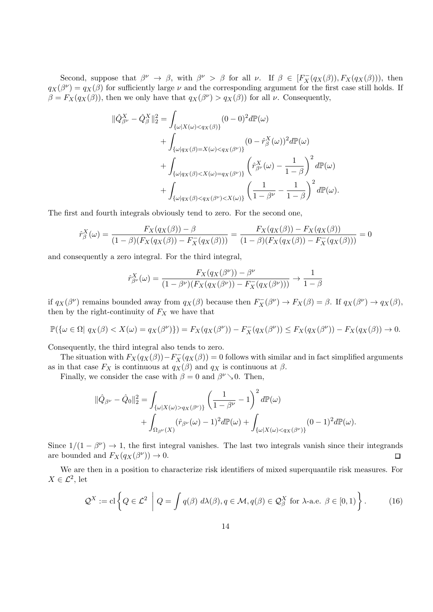Second, suppose that  $\beta^{\nu} \to \beta$ , with  $\beta^{\nu} > \beta$  for all  $\nu$ . If  $\beta \in [F_X^-(q_X(\beta)), F_X(q_X(\beta)))$ , then  $q_X(\beta^{\nu}) = q_X(\beta)$  for sufficiently large  $\nu$  and the corresponding argument for the first case still holds. If  $\beta = F_X(q_X(\beta))$ , then we only have that  $q_X(\beta^{\nu}) > q_X(\beta)$  for all  $\nu$ . Consequently,

$$
\begin{split} \|\hat{Q}_{\beta^{\nu}}^{X}-\hat{Q}_{\beta}^{X}\|_{2}^{2} &= \int_{\{\omega|X(\omega)<\bar{q}_{X}(\beta)\}} (0-0)^{2} d\mathbb{P}(\omega) \\ &+ \int_{\{\omega|q_{X}(\beta)=X(\omega)<\bar{q}_{X}(\beta^{\nu})\}} (0-\hat{r}_{\beta}^{X}(\omega))^{2} d\mathbb{P}(\omega) \\ &+ \int_{\{\omega|q_{X}(\beta)
$$

The first and fourth integrals obviously tend to zero. For the second one,

$$
\hat{r}_{\beta}^{X}(\omega) = \frac{F_{X}(q_{X}(\beta)) - \beta}{(1 - \beta)(F_{X}(q_{X}(\beta)) - F_{X}^{-}(q_{X}(\beta)))} = \frac{F_{X}(q_{X}(\beta)) - F_{X}(q_{X}(\beta))}{(1 - \beta)(F_{X}(q_{X}(\beta)) - F_{X}^{-}(q_{X}(\beta)))} = 0
$$

and consequently a zero integral. For the third integral,

$$
\hat{r}_{\beta^{\nu}}^{X}(\omega) = \frac{F_{X}(q_{X}(\beta^{\nu})) - \beta^{\nu}}{(1 - \beta^{\nu})(F_{X}(q_{X}(\beta^{\nu})) - F_{X}^{-}(q_{X}(\beta^{\nu})))} \rightarrow \frac{1}{1 - \beta}
$$

if  $q_X(\beta^{\nu})$  remains bounded away from  $q_X(\beta)$  because then  $F_X^-(\beta^{\nu}) \to F_X(\beta) = \beta$ . If  $q_X(\beta^{\nu}) \to q_X(\beta)$ , then by the right-continuity of  $F_X$  we have that

$$
\mathbb{P}(\{\omega \in \Omega \mid q_X(\beta) < X(\omega) = q_X(\beta^{\nu})\}) = F_X(q_X(\beta^{\nu})) - F_X^-(q_X(\beta^{\nu})) \le F_X(q_X(\beta^{\nu})) - F_X(q_X(\beta)) \to 0.
$$

Consequently, the third integral also tends to zero.

The situation with  $F_X(q_X(\beta)) - F_X(q_X(\beta)) = 0$  follows with similar and in fact simplified arguments as in that case  $F_X$  is continuous at  $q_X(\beta)$  and  $q_X$  is continuous at  $\beta$ .

Finally, we consider the case with  $\beta = 0$  and  $\beta^{\nu} \searrow 0$ . Then,

$$
\begin{split} \|\hat{Q}_{\beta^{\nu}}-\hat{Q}_0\|_2^2&=\int_{\{\omega|X(\omega)>q_X(\beta^{\nu})\}}\left(\frac{1}{1-\beta^{\nu}}-1\right)^2d\mathbb{P}(\omega)\\ &+\int_{\Omega_{\beta^{\nu}}(X)}(\hat{r}_{\beta^{\nu}}(\omega)-1)^2d\mathbb{P}(\omega)+\int_{\{\omega|X(\omega)
$$

Since  $1/(1 - \beta^{\nu}) \rightarrow 1$ , the first integral vanishes. The last two integrals vanish since their integrands are bounded and  $F_X(q_X(\beta^{\nu})) \to 0$ .  $\Box$ 

We are then in a position to characterize risk identifiers of mixed superquantile risk measures. For  $X \in \mathcal{L}^2$ , let

$$
\mathcal{Q}^X := \mathrm{cl}\left\{Q \in \mathcal{L}^2 \middle| Q = \int q(\beta) \ d\lambda(\beta), q \in \mathcal{M}, q(\beta) \in \mathcal{Q}^X_\beta \ \mathrm{for} \ \lambda\text{-a.e.} \ \beta \in [0,1) \right\}.
$$
 (16)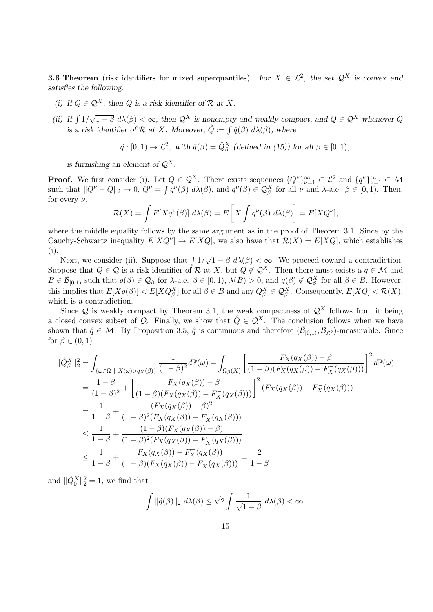**3.6 Theorem** (risk identifiers for mixed superquantiles). For  $X \in \mathcal{L}^2$ , the set  $\mathcal{Q}^X$  is convex and *satisfies the following.*

- *(i) If*  $Q \in \mathcal{Q}^X$ , then *Q is a risk identifier of*  $\mathcal{R}$  *at*  $X$ *.*
- *(ii)* If  $\int 1/\sqrt{1-\beta} d\lambda(\beta) < \infty$ , then  $\mathcal{Q}^X$  is nonempty and weakly compact, and  $Q \in \mathcal{Q}^X$  whenever  $Q$ *is a risk identifier of*  $R$  *at*  $X$ *. Moreover,*  $\hat{Q} := \int \hat{q}(\beta) d\lambda(\beta)$ *, where*

$$
\hat{q}: [0,1) \to \mathcal{L}^2
$$
, with  $\hat{q}(\beta) = \hat{Q}_{\beta}^X$  (defined in (15)) for all  $\beta \in [0,1)$ ,

*is furnishing an element of*  $Q^X$ .

**Proof.** We first consider (i). Let  $Q \in \mathcal{Q}^X$ . There exists sequences  $\{Q^\nu\}_{\nu=1}^\infty \subset \mathcal{L}^2$  and  $\{q^\nu\}_{\nu=1}^\infty \subset \mathcal{M}$ such that  $||Q^{\nu} - Q||_2 \to 0$ ,  $Q^{\nu} = \int q^{\nu}(\beta) d\lambda(\beta)$ , and  $q^{\nu}(\beta) \in \mathcal{Q}_{\beta}^{X}$  for all  $\nu$  and  $\lambda$ -a.e.  $\beta \in [0, 1)$ . Then, for every *ν*,

$$
\mathcal{R}(X) = \int E[Xq^{\nu}(\beta)] d\lambda(\beta) = E\left[X \int q^{\nu}(\beta) d\lambda(\beta)\right] = E[XQ^{\nu}],
$$

where the middle equality follows by the same argument as in the proof of Theorem 3.1. Since by the Cauchy-Schwartz inequality  $E[XQ^{\nu}] \to E[XQ]$ , we also have that  $\mathcal{R}(X) = E[XQ]$ , which establishes (i).

Next, we consider (ii). Suppose that  $\int 1/\sqrt{1-\beta} d\lambda(\beta) < \infty$ . We proceed toward a contradiction. Suppose that  $Q \in \mathcal{Q}$  is a risk identifier of  $\mathcal{R}$  at  $X$ , but  $Q \notin \mathcal{Q}^X$ . Then there must exists a  $q \in \mathcal{M}$  and  $B\in\overline{\mathcal{B}}_{[0,1)}$  such that  $q(\beta)\in\mathcal{Q}_{\beta}$  for  $\lambda$ -a.e.  $\beta\in[0,1), \lambda(B)>0$ , and  $q(\beta)\notin\mathcal{Q}_{\beta}^X$  for all  $\beta\in B$ . However, this implies that  $E[Xq(\beta)] < E[XQ_{\beta}^X]$  for all  $\beta \in B$  and any  $Q_{\beta}^X \in \mathcal{Q}_{\beta}^X$ . Consequently,  $E[XQ] < \mathcal{R}(X)$ , which is a contradiction.

Since  $Q$  is weakly compact by Theorem 3.1, the weak compactness of  $Q^X$  follows from it being a closed convex subset of *Q*. Finally, we show that  $\hat{Q} \in \mathcal{Q}^X$ . The conclusion follows when we have shown that  $\hat{q} \in \mathcal{M}$ . By Proposition 3.5,  $\hat{q}$  is continuous and therefore  $(\bar{\mathcal{B}}_{[0,1)}, \mathcal{B}_{\mathcal{L}^2})$ -measurable. Since for  $\beta \in (0,1)$ 

$$
\|\hat{Q}_{\beta}^{X}\|_{2}^{2} = \int_{\{\omega \in \Omega \; | \; X(\omega) > q_{X}(\beta)\}} \frac{1}{(1-\beta)^{2}} d\mathbb{P}(\omega) + \int_{\Omega_{\beta}(X)} \left[ \frac{F_{X}(q_{X}(\beta)) - \beta}{(1-\beta)(F_{X}(q_{X}(\beta)) - F_{X}^{-}(q_{X}(\beta)))} \right]^{2} d\mathbb{P}(\omega)
$$
\n
$$
= \frac{1-\beta}{(1-\beta)^{2}} + \left[ \frac{F_{X}(q_{X}(\beta)) - \beta}{(1-\beta)(F_{X}(q_{X}(\beta)) - F_{X}^{-}(q_{X}(\beta)))} \right]^{2} (F_{X}(q_{X}(\beta)) - F_{X}^{-}(q_{X}(\beta)))
$$
\n
$$
= \frac{1}{1-\beta} + \frac{(F_{X}(q_{X}(\beta)) - \beta)^{2}}{(1-\beta)^{2}(F_{X}(q_{X}(\beta)) - F_{X}^{-}(q_{X}(\beta)))}
$$
\n
$$
\leq \frac{1}{1-\beta} + \frac{(1-\beta)(F_{X}(q_{X}(\beta)) - \beta)}{(1-\beta)^{2}(F_{X}(q_{X}(\beta)) - F_{X}^{-}(q_{X}(\beta)))}
$$
\n
$$
\leq \frac{1}{1-\beta} + \frac{F_{X}(q_{X}(\beta)) - F_{X}^{-}(q_{X}(\beta))}{(1-\beta)(F_{X}(q_{X}(\beta)) - F_{X}^{-}(q_{X}(\beta)))} = \frac{2}{1-\beta}
$$

and  $\|\hat{Q}_0^X\|_2^2 = 1$ , we find that

$$
\int \|\hat{q}(\beta)\|_2 \ d\lambda(\beta) \leq \sqrt{2} \int \frac{1}{\sqrt{1-\beta}} \ d\lambda(\beta) < \infty.
$$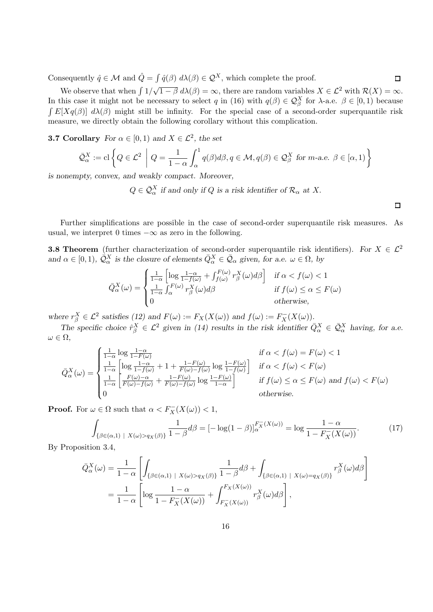Consequently  $\hat{q} \in \mathcal{M}$  and  $\hat{Q} = \int \hat{q}(\beta) d\lambda(\beta) \in \mathcal{Q}^X$ , which complete the proof.

We observe that when  $\int 1/\sqrt{1-\beta} d\lambda(\beta) = \infty$ , there are random variables  $X \in \mathcal{L}^2$  with  $\mathcal{R}(X) = \infty$ . In this case it might not be necessary to select *q* in (16) with  $q(\beta) \in \mathcal{Q}_{\beta}^X$  for  $\lambda$ -a.e.  $\beta \in [0,1)$  because  $\int E[Xq(\beta)] d\lambda(\beta)$  might still be infinity. For the special case of a second-order superquantile risk measure, we directly obtain the following corollary without this complication.

**3.7 Corollary** *For*  $\alpha \in [0,1)$  *and*  $X \in \mathcal{L}^2$ *, the set* 

$$
\bar{\mathcal{Q}}_{\alpha}^{X} := \text{cl}\left\{Q \in \mathcal{L}^2 \middle| Q = \frac{1}{1-\alpha} \int_{\alpha}^{1} q(\beta) d\beta, q \in \mathcal{M}, q(\beta) \in \mathcal{Q}_{\beta}^{X} \text{ for } m\text{-a.e. } \beta \in [\alpha, 1) \right\}
$$

*is nonempty, convex, and weakly compact. Moreover,*

 $Q \in \overline{Q}_{\alpha}^X$  *if and only if*  $Q$  *is a risk identifier of*  $\mathcal{R}_{\alpha}$  *at*  $X$ .

□

 $\Box$ 

Further simplifications are possible in the case of second-order superquantile risk measures. As usual, we interpret 0 times *−∞* as zero in the following.

**3.8 Theorem** (further characterization of second-order superquantile risk identifiers). For  $X \in \mathcal{L}^2$ *and*  $\alpha \in [0, 1)$ ,  $\overline{Q}^X_{\alpha}$  *is the closure of elements*  $\overline{Q}^X_{\alpha} \in \overline{Q}_{\alpha}$  *given, for a.e.*  $\omega \in \Omega$ *, by* 

$$
\bar{Q}_{\alpha}^{X}(\omega) = \begin{cases}\n\frac{1}{1-\alpha} \left[ \log \frac{1-\alpha}{1-f(\omega)} + \int_{f(\omega)}^{F(\omega)} r_{\beta}^{X}(\omega) d\beta \right] & \text{if } \alpha < f(\omega) < 1 \\
\frac{1}{1-\alpha} \int_{\alpha}^{F(\omega)} r_{\beta}^{X}(\omega) d\beta & \text{if } f(\omega) \le \alpha \le F(\omega) \\
0 & \text{otherwise,}\n\end{cases}
$$

where  $r_{\beta}^X \in \mathcal{L}^2$  satisfies (12) and  $F(\omega) := F_X(X(\omega))$  and  $f(\omega) := F_X^-(X(\omega))$ .

*The specific choice*  $\hat{r}_{\beta}^X \in \mathcal{L}^2$  *given in (14) results in the risk identifier*  $\bar{Q}_{\alpha}^X \in \bar{Q}_{\alpha}^X$  *having, for a.e. ω ∈* Ω*,*

$$
\bar{Q}_{\alpha}^{X}(\omega) = \begin{cases}\n\frac{1}{1-\alpha} \log \frac{1-\alpha}{1-F(\omega)} & \text{if } \alpha < f(\omega) = F(\omega) < 1 \\
\frac{1}{1-\alpha} \left[ \log \frac{1-\alpha}{1-f(\omega)} + 1 + \frac{1-F(\omega)}{F(\omega)-f(\omega)} \log \frac{1-F(\omega)}{1-f(\omega)} \right] & \text{if } \alpha < f(\omega) < F(\omega) \\
\frac{1}{1-\alpha} \left[ \frac{F(\omega)-\alpha}{F(\omega)-f(\omega)} + \frac{1-F(\omega)}{F(\omega)-f(\omega)} \log \frac{1-F(\omega)}{1-\alpha} \right] & \text{if } f(\omega) \le \alpha \le F(\omega) \text{ and } f(\omega) < F(\omega) \\
0 & \text{otherwise.} \n\end{cases}
$$

**Proof.** For  $\omega \in \Omega$  such that  $\alpha < F_X^-(X(\omega)) < 1$ ,

$$
\int_{\{\beta \in (\alpha,1) \mid X(\omega) > q_X(\beta)\}} \frac{1}{1-\beta} d\beta = \left[ -\log(1-\beta) \right]_{\alpha}^{F_X^{-}(X(\omega))} = \log \frac{1-\alpha}{1-F_X^{-}(X(\omega))}.
$$
\n(17)

By Proposition 3.4,

$$
\bar{Q}_{\alpha}^{X}(\omega) = \frac{1}{1-\alpha} \left[ \int_{\{\beta \in (\alpha,1) \mid X(\omega) > q_X(\beta)\}} \frac{1}{1-\beta} d\beta + \int_{\{\beta \in (\alpha,1) \mid X(\omega) = q_X(\beta)\}} r_{\beta}^{X}(\omega) d\beta \right]
$$

$$
= \frac{1}{1-\alpha} \left[ \log \frac{1-\alpha}{1-F_X(X(\omega))} + \int_{F_X^{-}(X(\omega))}^{F_X(X(\omega))} r_{\beta}^{X}(\omega) d\beta \right],
$$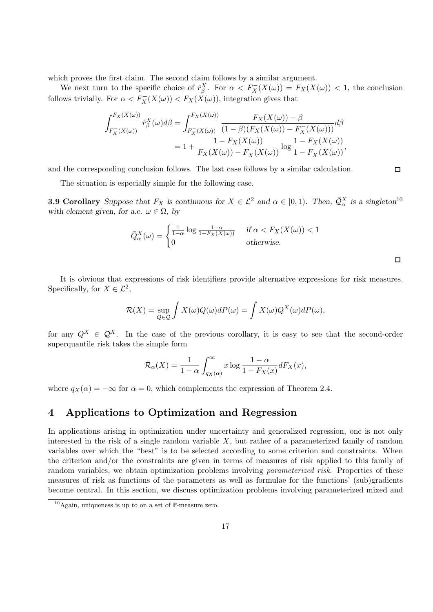which proves the first claim. The second claim follows by a similar argument.

We next turn to the specific choice of  $\hat{r}^X_\beta$ . For  $\alpha < F_X^-(X(\omega)) = F_X^+(X(\omega)) < 1$ , the conclusion follows trivially. For  $\alpha < F_X^-(X(\omega)) < F_X^-(X(\omega))$ , integration gives that

$$
\int_{F_X^-(X(\omega))}^{F_X(X(\omega))} \hat{r}_{\beta}^X(\omega) d\beta = \int_{F_X^-(X(\omega))}^{F_X(X(\omega))} \frac{F_X(X(\omega)) - \beta}{(1 - \beta)(F_X(X(\omega)) - F_X^-(X(\omega)))} d\beta
$$
  
=  $1 + \frac{1 - F_X(X(\omega))}{F_X(X(\omega)) - F_X^-(X(\omega))} \log \frac{1 - F_X(X(\omega))}{1 - F_X^-(X(\omega))},$ 

and the corresponding conclusion follows. The last case follows by a similar calculation.

The situation is especially simple for the following case.

**3.9 Corollary** Suppose that  $F_X$  is continuous for  $X \in \mathcal{L}^2$  and  $\alpha \in [0,1)$ . Then,  $\overline{\mathcal{Q}}_{\alpha}^X$  is a singleton<sup>10</sup> *with element given, for a.e.*  $\omega \in \Omega$ , by

$$
\bar{Q}_{\alpha}^{X}(\omega) = \begin{cases} \frac{1}{1-\alpha} \log \frac{1-\alpha}{1-F_X(X(\omega))} & \text{if } \alpha < F_X(X(\omega)) < 1\\ 0 & \text{otherwise.} \end{cases}
$$

 $\Box$ 

 $\Box$ 

It is obvious that expressions of risk identifiers provide alternative expressions for risk measures. Specifically, for  $X \in \mathcal{L}^2$ ,

$$
\mathcal{R}(X) = \sup_{Q \in \mathcal{Q}} \int X(\omega)Q(\omega)dP(\omega) = \int X(\omega)Q^{X}(\omega)dP(\omega),
$$

for any  $Q^X \in \mathcal{Q}^X$ . In the case of the previous corollary, it is easy to see that the second-order superquantile risk takes the simple form

$$
\bar{\mathcal{R}}_{\alpha}(X)=\frac{1}{1-\alpha}\int_{q_X(\alpha)}^{\infty}x\log\frac{1-\alpha}{1-F_X(x)}dF_X(x),
$$

where  $q_X(\alpha) = -\infty$  for  $\alpha = 0$ , which complements the expression of Theorem 2.4.

### **4 Applications to Optimization and Regression**

In applications arising in optimization under uncertainty and generalized regression, one is not only interested in the risk of a single random variable *X*, but rather of a parameterized family of random variables over which the "best" is to be selected according to some criterion and constraints. When the criterion and/or the constraints are given in terms of measures of risk applied to this family of random variables, we obtain optimization problems involving *parameterized risk*. Properties of these measures of risk as functions of the parameters as well as formulae for the functions' (sub)gradients become central. In this section, we discuss optimization problems involving parameterized mixed and

 $10$ Again, uniqueness is up to on a set of P-measure zero.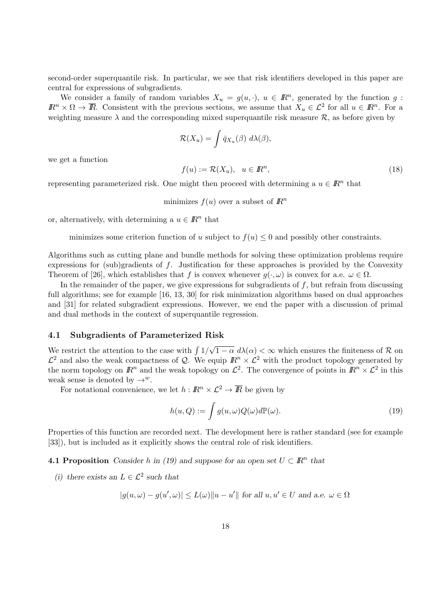second-order superquantile risk. In particular, we see that risk identifiers developed in this paper are central for expressions of subgradients.

We consider a family of random variables  $X_u = g(u, \cdot), u \in \mathbb{R}^n$ , generated by the function *g*:  $I\!\!R^n \times \Omega \to \overline{I\!\!R}$ . Consistent with the previous sections, we assume that  $X_u \in \mathcal{L}^2$  for all  $u \in \mathbb{R}^n$ . For a weighting measure  $\lambda$  and the corresponding mixed superquantile risk measure  $\mathcal{R}$ , as before given by

$$
\mathcal{R}(X_u) = \int \bar{q}_{X_u}(\beta) \, d\lambda(\beta),
$$

we get a function

$$
f(u) := \mathcal{R}(X_u), \quad u \in \mathbb{R}^n,
$$
\n<sup>(18)</sup>

representing parameterized risk. One might then proceed with determining a  $u \in \mathbb{R}^n$  that

minimizes  $f(u)$  over a subset of  $\mathbb{R}^n$ 

or, alternatively, with determining a  $u \in \mathbb{R}^n$  that

minimizes some criterion function of *u* subject to  $f(u) \leq 0$  and possibly other constraints.

Algorithms such as cutting plane and bundle methods for solving these optimization problems require expressions for (sub)gradients of *f*. Justification for these approaches is provided by the Convexity Theorem of [26], which establishes that *f* is convex whenever  $g(\cdot, \omega)$  is convex for a.e.  $\omega \in \Omega$ .

In the remainder of the paper, we give expressions for subgradients of  $f$ , but refrain from discussing full algorithms; see for example [16, 13, 30] for risk minimization algorithms based on dual approaches and [31] for related subgradient expressions. However, we end the paper with a discussion of primal and dual methods in the context of superquantile regression.

#### **4.1 Subgradients of Parameterized Risk**

We restrict the attention to the case with ∫ 1*/ √*  $\sqrt{1-\alpha} d\lambda(\alpha) < \infty$  which ensures the finiteness of  $\mathcal{R}$  on  $\mathcal{L}^2$  and also the weak compactness of *Q*. We equip  $\mathbb{R}^n \times \mathcal{L}^2$  with the product topology generated by the norm topology on  $\mathbb{R}^n$  and the weak topology on  $\mathcal{L}^2$ . The convergence of points in  $\mathbb{R}^n \times \mathcal{L}^2$  in this weak sense is denoted by  $\rightarrow^w$ .

For notational convenience, we let  $h: \mathbb{R}^n \times \mathcal{L}^2 \to \overline{\mathbb{R}}$  be given by

$$
h(u, Q) := \int g(u, \omega) Q(\omega) d\mathbb{P}(\omega).
$$
\n(19)

Properties of this function are recorded next. The development here is rather standard (see for example [33]), but is included as it explicitly shows the central role of risk identifiers.

**4.1 Proposition** *Consider h* in (19) and suppose for an open set  $U \subset \mathbb{R}^n$  that

*(i)* there exists an *L* ∈  $\mathcal{L}^2$  such that

$$
|g(u, \omega) - g(u', \omega)| \le L(\omega) ||u - u'||
$$
 for all  $u, u' \in U$  and a.e.  $\omega \in \Omega$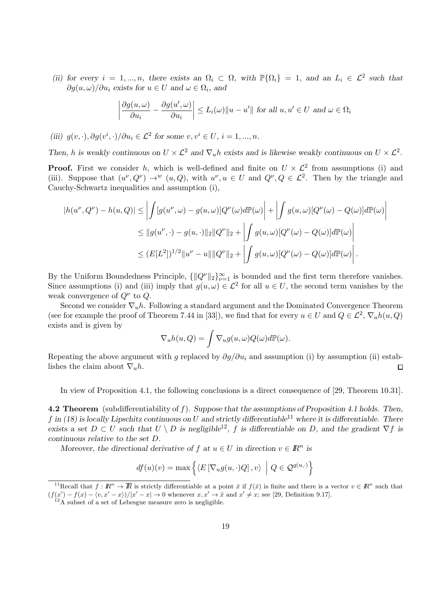*(ii) for every*  $i = 1, ..., n$ *, there exists an*  $\Omega_i \subset \Omega$ *, with*  $\mathbb{P}\{\Omega_i\} = 1$ *, and an*  $L_i \in \mathcal{L}^2$  such that  $\partial g(u, \omega) / \partial u_i$  *exists for*  $u \in U$  *and*  $\omega \in \Omega_i$ , *and* 

$$
\left|\frac{\partial g(u,\omega)}{\partial u_i} - \frac{\partial g(u',\omega)}{\partial u_i}\right| \le L_i(\omega) \|u - u'\| \text{ for all } u, u' \in U \text{ and } \omega \in \Omega_i
$$

*(iii)*  $g(v, \cdot), \partial g(v^i, \cdot) / \partial u_i \in \mathcal{L}^2$  for some  $v, v^i \in U, i = 1, ..., n$ .

*Then, h* is weakly continuous on  $U \times L^2$  and  $\nabla_u h$  exists and is likewise weakly continuous on  $U \times L^2$ .

**Proof.** First we consider *h*, which is well-defined and finite on  $U \times L^2$  from assumptions (i) and (iii). Suppose that  $(u^{\nu}, Q^{\nu}) \to^w (u, Q)$ , with  $u^{\nu}, u \in U$  and  $Q^{\nu}, Q \in \mathcal{L}^2$ . Then by the triangle and Cauchy-Schwartz inequalities and assumption (i),

$$
|h(u^{\nu}, Q^{\nu}) - h(u, Q)| \leq \left| \int [g(u^{\nu}, \omega) - g(u, \omega)] Q^{\nu}(\omega) d\mathbb{P}(\omega) \right| + \left| \int g(u, \omega) [Q^{\nu}(\omega) - Q(\omega)] d\mathbb{P}(\omega) \right|
$$
  

$$
\leq ||g(u^{\nu}, \cdot) - g(u, \cdot)||_2 ||Q^{\nu}||_2 + \left| \int g(u, \omega) [Q^{\nu}(\omega) - Q(\omega)] d\mathbb{P}(\omega) \right|
$$
  

$$
\leq (E[L^2])^{1/2} ||u^{\nu} - u|| ||Q^{\nu}||_2 + \left| \int g(u, \omega) [Q^{\nu}(\omega) - Q(\omega)] d\mathbb{P}(\omega) \right|.
$$

By the Uniform Boundedness Principle,  $\{||Q^{\nu}||_2\}_{\nu=1}^{\infty}$  is bounded and the first term therefore vanishes. Since assumptions (i) and (iii) imply that  $g(u, \omega) \in \mathcal{L}^2$  for all  $u \in U$ , the second term vanishes by the weak convergence of *Q<sup>ν</sup>* to *Q*.

Second we consider *∇uh*. Following a standard argument and the Dominated Convergence Theorem (see for example the proof of Theorem 7.44 in [33]), we find that for every  $u \in U$  and  $Q \in \mathcal{L}^2$ ,  $\nabla_u h(u, Q)$ exists and is given by

$$
\nabla_u h(u, Q) = \int \nabla_u g(u, \omega) Q(\omega) d\mathbb{P}(\omega).
$$

Repeating the above argument with *g* replaced by *∂g/∂u<sup>i</sup>* and assumption (i) by assumption (ii) establishes the claim about  $\nabla_{\mathbf{u}}h$ . □

In view of Proposition 4.1, the following conclusions is a direct consequence of [29, Theorem 10.31].

**4.2 Theorem** (subdifferentiability of *f*). *Suppose that the assumptions of Proposition 4.1 holds. Then,*  $f$  in (18) is locally Lipschitz continuous on U and strictly differentiable<sup>11</sup> where it is differentiable. There *exists a set*  $D \subset U$  *such that*  $U \setminus D$  *is negligible*<sup>12</sup>, *f is differentiable on D*, and the gradient  $\nabla f$  *is continuous relative to the set D.*

*Moreover, the directional derivative of*  $f$  *at*  $u \in U$  *in direction*  $v \in \mathbb{R}^n$  *is* 

$$
df(u)(v) = \max \left\{ \langle E\left[\nabla_u g(u, \cdot)Q\right], v \rangle \middle| Q \in \mathcal{Q}^{g(u, \cdot)} \right\}
$$

<sup>11</sup>Recall that  $f: \mathbb{R}^n \to \overline{\mathbb{R}}$  is strictly differentiable at a point  $\bar{x}$  if  $f(\bar{x})$  is finite and there is a vector  $v \in \mathbb{R}^n$  such that  $(f(x') - f(x) - \langle v, x' - x \rangle)/|x' - x| \to 0$  whenever  $x, x' \to \bar{x}$  and  $x' \neq x$ ; see [29, Definition 9.17].

<sup>&</sup>lt;sup>12</sup>A subset of a set of Lebesgue measure zero is negligible.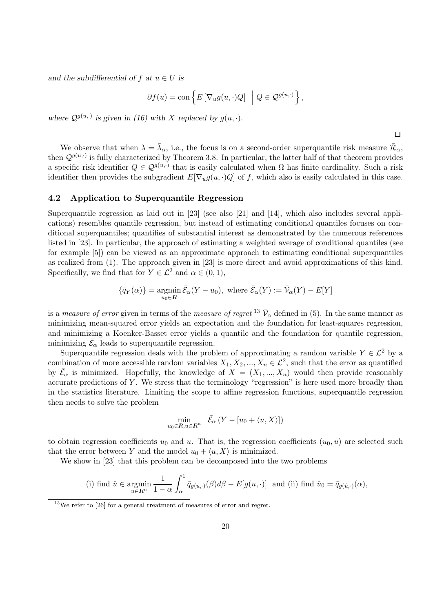*and the subdifferential of*  $f$  *at*  $u \in U$  *is* 

$$
\partial f(u) = \text{con}\left\{E\left[\nabla_u g(u, \cdot)Q\right] \middle| Q \in \mathcal{Q}^{g(u, \cdot)}\right\},\
$$

where  $Q^{g(u, \cdot)}$  is given in (16) with *X* replaced by  $g(u, \cdot)$ .

 $\Box$ 

We observe that when  $\lambda = \bar{\lambda}_{\alpha}$ , i.e., the focus is on a second-order superquantile risk measure  $\bar{\mathcal{R}}_{\alpha}$ , then  $Q^{g(u,\cdot)}$  is fully characterized by Theorem 3.8. In particular, the latter half of that theorem provides a specific risk identifier  $Q \in \mathcal{Q}^{g(u,\cdot)}$  that is easily calculated when  $\Omega$  has finite cardinality. Such a risk identifier then provides the subgradient  $E[\nabla_u g(u, \cdot)Q]$  of f, which also is easily calculated in this case.

#### **4.2 Application to Superquantile Regression**

Superquantile regression as laid out in [23] (see also [21] and [14], which also includes several applications) resembles quantile regression, but instead of estimating conditional quantiles focuses on conditional superquantiles; quantifies of substantial interest as demonstrated by the numerous references listed in [23]. In particular, the approach of estimating a weighted average of conditional quantiles (see for example [5]) can be viewed as an approximate approach to estimating conditional superquantiles as realized from (1). The approach given in [23] is more direct and avoid approximations of this kind. Specifically, we find that for  $Y \in \mathcal{L}^2$  and  $\alpha \in (0,1)$ ,

$$
\{\bar{q}_Y(\alpha)\} = \operatorname*{argmin}_{u_0 \in R} \bar{\mathcal{E}}_{\alpha}(Y - u_0), \text{ where } \bar{\mathcal{E}}_{\alpha}(Y) := \bar{\mathcal{V}}_{\alpha}(Y) - E[Y]
$$

is a *measure of error* given in terms of the *measure of regret* <sup>13</sup>  $\bar{\mathcal{V}}_{\alpha}$  defined in (5). In the same manner as minimizing mean-squared error yields an expectation and the foundation for least-squares regression, and minimizing a Koenker-Basset error yields a quantile and the foundation for quantile regression, minimizing  $\bar{\mathcal{E}}_{\alpha}$  leads to superquantile regression.

Superquantile regression deals with the problem of approximating a random variable  $Y \in \mathcal{L}^2$  by a combination of more accessible random variables  $X_1, X_2, ..., X_n \in \mathcal{L}^2$ , such that the error as quantified by  $\bar{\mathcal{E}}_{\alpha}$  is minimized. Hopefully, the knowledge of  $X = (X_1, ..., X_n)$  would then provide reasonably accurate predictions of *Y* . We stress that the terminology "regression" is here used more broadly than in the statistics literature. Limiting the scope to affine regression functions, superquantile regression then needs to solve the problem

$$
\min_{u_0 \in R, u \in \mathbb{R}^n} \quad \bar{\mathcal{E}}_{\alpha} \left( Y - [u_0 + \langle u, X \rangle] \right)
$$

to obtain regression coefficients  $u_0$  and  $u$ . That is, the regression coefficients  $(u_0, u)$  are selected such that the error between *Y* and the model  $u_0 + \langle u, X \rangle$  is minimized.

We show in [23] that this problem can be decomposed into the two problems

(i) find 
$$
\hat{u} \in \underset{u \in \mathbb{R}^n}{\text{argmin}} \frac{1}{1-\alpha} \int_{\alpha}^{1} \bar{q}_{g(u,\cdot)}(\beta) d\beta - E[g(u,\cdot)]
$$
 and (ii) find  $\hat{u}_0 = \bar{q}_{g(\hat{u},\cdot)}(\alpha)$ ,

 $13$ We refer to  $[26]$  for a general treatment of measures of error and regret.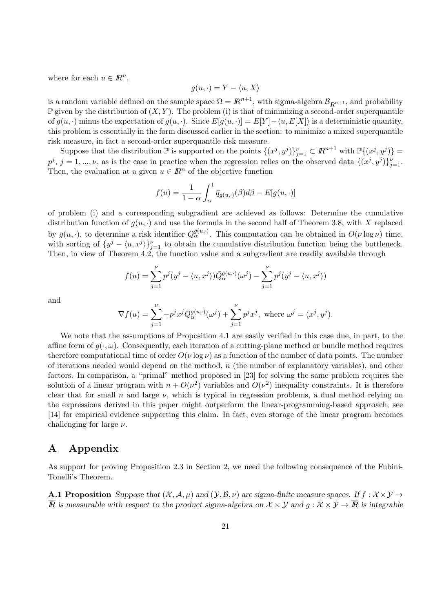where for each  $u \in \mathbb{R}^n$ ,

$$
g(u, \cdot) = Y - \langle u, X \rangle
$$

is a random variable defined on the sample space  $\Omega = \mathbb{R}^{n+1}$ , with sigma-algebra  $\mathcal{B}_{\mathbb{R}^{n+1}}$ , and probability  $\mathbb P$  given by the distribution of  $(X, Y)$ . The problem (i) is that of minimizing a second-order superquantile of  $g(u, \cdot)$  minus the expectation of  $g(u, \cdot)$ . Since  $E[g(u, \cdot)] = E[Y] - \langle u, E[X] \rangle$  is a deterministic quantity, this problem is essentially in the form discussed earlier in the section: to minimize a mixed superquantile risk measure, in fact a second-order superquantile risk measure.

Suppose that the distribution  $\mathbb P$  is supported on the points  $\{(x^j, y^j)\}_{j=1}^{\nu} \subset \mathbb{R}^{n+1}$  with  $\mathbb{P}\{(x^j, y^j)\}$  =  $p^j$ ,  $j = 1, ..., \nu$ , as is the case in practice when the regression relies on the observed data  $\{(x^j, y^j)\}_{j=1}^{\nu}$ . Then, the evaluation at a given  $u \in \mathbb{R}^n$  of the objective function

$$
f(u) = \frac{1}{1 - \alpha} \int_{\alpha}^{1} \bar{q}_{g(u, \cdot)}(\beta) d\beta - E[g(u, \cdot)]
$$

of problem (i) and a corresponding subgradient are achieved as follows: Determine the cumulative distribution function of  $g(u, \cdot)$  and use the formula in the second half of Theorem 3.8, with *X* replaced by  $g(u, \cdot)$ , to determine a risk identifier  $\bar{Q}_{\alpha}^{g(u, \cdot)}$ . This computation can be obtained in  $O(\nu \log \nu)$  time, with sorting of  $\{y^j - \langle u, x^j \rangle\}_{j=1}^{\nu}$  to obtain the cumulative distribution function being the bottleneck. Then, in view of Theorem 4.2, the function value and a subgradient are readily available through

$$
f(u) = \sum_{j=1}^{\nu} p^j (y^j - \langle u, x^j \rangle) \overline{Q}_{\alpha}^{g(u, \cdot)}(\omega^j) - \sum_{j=1}^{\nu} p^j (y^j - \langle u, x^j \rangle)
$$

and

$$
\nabla f(u) = \sum_{j=1}^{\nu} -p^j x^j \overline{Q}_{\alpha}^{g(u,\cdot)}(\omega^j) + \sum_{j=1}^{\nu} p^j x^j, \text{ where } \omega^j = (x^j, y^j).
$$

We note that the assumptions of Proposition 4.1 are easily verified in this case due, in part, to the affine form of  $g(\cdot, \omega)$ . Consequently, each iteration of a cutting-plane method or bundle method requires therefore computational time of order  $O(\nu \log \nu)$  as a function of the number of data points. The number of iterations needed would depend on the method, *n* (the number of explanatory variables), and other factors. In comparison, a "primal" method proposed in [23] for solving the same problem requires the solution of a linear program with  $n + O(\nu^2)$  variables and  $O(\nu^2)$  inequality constraints. It is therefore clear that for small *n* and large  $\nu$ , which is typical in regression problems, a dual method relying on the expressions derived in this paper might outperform the linear-programming-based approach; see [14] for empirical evidence supporting this claim. In fact, even storage of the linear program becomes challenging for large *ν*.

## **A Appendix**

As support for proving Proposition 2.3 in Section 2, we need the following consequence of the Fubini-Tonelli's Theorem.

**A.1 Proposition** *Suppose that*  $(\mathcal{X}, \mathcal{A}, \mu)$  *and*  $(\mathcal{Y}, \mathcal{B}, \nu)$  *are sigma-finite measure spaces. If*  $f : \mathcal{X} \times \mathcal{Y} \rightarrow$  $\overline{R}$  *is measurable with respect to the product sigma-algebra on*  $\mathcal{X} \times \mathcal{Y}$  and  $g : \mathcal{X} \times \mathcal{Y} \to \overline{R}$  *is integrable*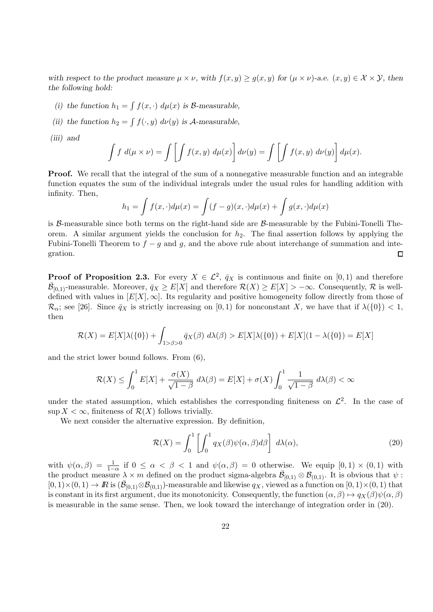with respect to the product measure  $\mu \times \nu$ , with  $f(x, y) \geq q(x, y)$  for  $(\mu \times \nu)$ -a.e.  $(x, y) \in \mathcal{X} \times \mathcal{Y}$ , then *the following hold:*

- (*i*) the function  $h_1 = \int f(x, \cdot) d\mu(x)$  is *B*-measurable,
- (*ii*) *the function*  $h_2 = \int f(\cdot, y) d\nu(y)$  *is A*-measurable,
- *(iii) and*

$$
\int f d(\mu \times \nu) = \int \left[ \int f(x, y) d\mu(x) \right] d\nu(y) = \int \left[ \int f(x, y) d\nu(y) \right] d\mu(x).
$$

**Proof.** We recall that the integral of the sum of a nonnegative measurable function and an integrable function equates the sum of the individual integrals under the usual rules for handling addition with infinity. Then,

$$
h_1 = \int f(x, \cdot) d\mu(x) = \int (f - g)(x, \cdot) d\mu(x) + \int g(x, \cdot) d\mu(x)
$$

is *B*-measurable since both terms on the right-hand side are *B*-measurable by the Fubini-Tonelli Theorem. A similar argument yields the conclusion for *h*2. The final assertion follows by applying the Fubini-Tonelli Theorem to  $f - g$  and  $g$ , and the above rule about interchange of summation and integration. П

**Proof of Proposition 2.3.** For every  $X \in \mathcal{L}^2$ ,  $\bar{q}_X$  is continuous and finite on [0, 1) and therefore  $\overline{\mathcal{B}}_{[0,1)}$ -measurable. Moreover,  $\overline{q}_X \geq E[X]$  and therefore  $\mathcal{R}(X) \geq E[X] > -\infty$ . Consequently,  $\mathcal{R}$  is welldefined with values in  $[E[X], \infty]$ . Its regularity and positive homogeneity follow directly from those of  $\mathcal{R}_{\alpha}$ ; see [26]. Since  $\bar{q}_X$  is strictly increasing on [0, 1) for nonconstant *X*, we have that if  $\lambda({0}) < 1$ , then

$$
\mathcal{R}(X) = E[X]\lambda(\{0\}) + \int_{1 > \beta > 0} \bar{q}_X(\beta) \ d\lambda(\beta) > E[X]\lambda(\{0\}) + E[X](1 - \lambda(\{0\}) = E[X])
$$

and the strict lower bound follows. From (6),

$$
\mathcal{R}(X) \le \int_0^1 E[X] + \frac{\sigma(X)}{\sqrt{1-\beta}} d\lambda(\beta) = E[X] + \sigma(X) \int_0^1 \frac{1}{\sqrt{1-\beta}} d\lambda(\beta) < \infty
$$

under the stated assumption, which establishes the corresponding finiteness on  $\mathcal{L}^2$ . In the case of sup  $X < \infty$ , finiteness of  $\mathcal{R}(X)$  follows trivially.

We next consider the alternative expression. By definition,

$$
\mathcal{R}(X) = \int_0^1 \left[ \int_0^1 q_X(\beta) \psi(\alpha, \beta) d\beta \right] d\lambda(\alpha), \tag{20}
$$

with  $\psi(\alpha, \beta) = \frac{1}{1-\alpha}$  if  $0 \leq \alpha < \beta < 1$  and  $\psi(\alpha, \beta) = 0$  otherwise. We equip  $[0, 1) \times (0, 1)$  with the product measure  $\lambda \times m$  defined on the product sigma-algebra  $\bar{\mathcal{B}}_{[0,1)} \otimes \mathcal{B}_{(0,1)}$ . It is obvious that  $\psi$ :  $[0,1)\times(0,1)\to\mathbb{R}$  is  $(\bar{\mathcal{B}}_{[0,1)}\otimes\mathcal{B}_{(0,1)})$ -measurable and likewise  $q_X$ , viewed as a function on  $[0,1)\times(0,1)$  that is constant in its first argument, due its monotonicity. Consequently, the function  $(\alpha, \beta) \mapsto q_X(\beta)\psi(\alpha, \beta)$ is measurable in the same sense. Then, we look toward the interchange of integration order in (20).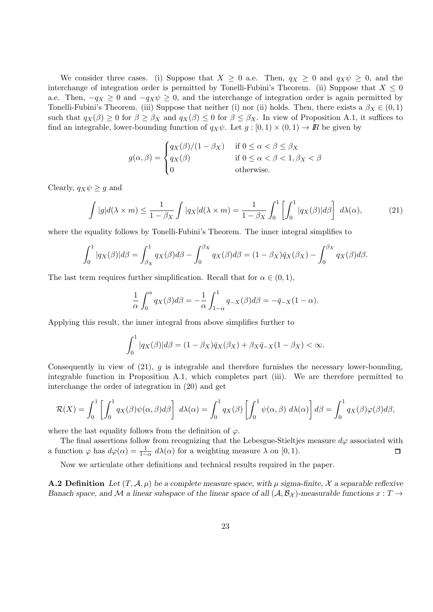We consider three cases. (i) Suppose that  $X \geq 0$  a.e. Then,  $q_X \geq 0$  and  $q_X \psi \geq 0$ , and the interchange of integration order is permitted by Tonelli-Fubini's Theorem. (ii) Suppose that  $X \leq 0$ a.e. Then,  $-q_X \geq 0$  and  $-q_X \psi \geq 0$ , and the interchange of integration order is again permitted by Tonelli-Fubini's Theorem. (iii) Suppose that neither (i) nor (ii) holds. Then, there exists a  $\beta_X \in (0,1)$ such that  $q_X(\beta) \geq 0$  for  $\beta \geq \beta_X$  and  $q_X(\beta) \leq 0$  for  $\beta \leq \beta_X$ . In view of Proposition A.1, it suffices to find an integrable, lower-bounding function of  $q_X \psi$ . Let  $g : [0,1) \times (0,1) \to \mathbb{R}$  be given by

$$
g(\alpha, \beta) = \begin{cases} q_X(\beta)/(1 - \beta_X) & \text{if } 0 \le \alpha < \beta \le \beta_X \\ q_X(\beta) & \text{if } 0 \le \alpha < \beta < 1, \beta_X < \beta \\ 0 & \text{otherwise.} \end{cases}
$$

Clearly,  $q_X \psi \geq g$  and

$$
\int |g|d(\lambda \times m) \le \frac{1}{1 - \beta_X} \int |q_X| d(\lambda \times m) = \frac{1}{1 - \beta_X} \int_0^1 \left[ \int_0^1 |q_X(\beta)| d\beta \right] d\lambda(\alpha), \tag{21}
$$

where the equality follows by Tonelli-Fubini's Theorem. The inner integral simplifies to

$$
\int_0^1 |q_X(\beta)|d\beta = \int_{\beta_X}^1 q_X(\beta)d\beta - \int_0^{\beta_X} q_X(\beta)d\beta = (1 - \beta_X)\overline{q}_X(\beta_X) - \int_0^{\beta_X} q_X(\beta)d\beta.
$$

The last term requires further simplification. Recall that for  $\alpha \in (0,1)$ ,

$$
\frac{1}{\alpha} \int_0^{\alpha} q_X(\beta) d\beta = -\frac{1}{\alpha} \int_{1-\alpha}^1 q_{-X}(\beta) d\beta = -\bar{q}_{-X}(1-\alpha).
$$

Applying this result, the inner integral from above simplifies further to

$$
\int_0^1 |q_X(\beta)|d\beta = (1 - \beta_X)\overline{q}_X(\beta_X) + \beta_X \overline{q}_{-X}(1 - \beta_X) < \infty.
$$

Consequently in view of (21), *g* is integrable and therefore furnishes the necessary lower-bounding, integrable function in Proposition A.1, which completes part (iii). We are therefore permitted to interchange the order of integration in (20) and get

$$
\mathcal{R}(X) = \int_0^1 \left[ \int_0^1 q_X(\beta) \psi(\alpha, \beta) d\beta \right] d\lambda(\alpha) = \int_0^1 q_X(\beta) \left[ \int_0^1 \psi(\alpha, \beta) d\lambda(\alpha) \right] d\beta = \int_0^1 q_X(\beta) \varphi(\beta) d\beta,
$$

where the last equality follows from the definition of  $\varphi$ .

The final assertions follow from recognizing that the Lebesgue-Stieltjes measure  $d\varphi$  associated with a function  $\varphi$  has  $d\varphi(\alpha) = \frac{1}{1-\alpha} d\lambda(\alpha)$  for a weighting measure  $\lambda$  on [0, 1).  $\Box$ 

Now we articulate other definitions and technical results required in the paper.

**A.2 Definition** Let  $(T, \mathcal{A}, \mu)$  be a complete measure space, with  $\mu$  sigma-finite,  $\mathcal{X}$  a separable reflexive *Banach space, and*  $M$  *a linear subspace of the linear space of all*  $(A, B_X)$ *-measurable functions*  $x : T \rightarrow$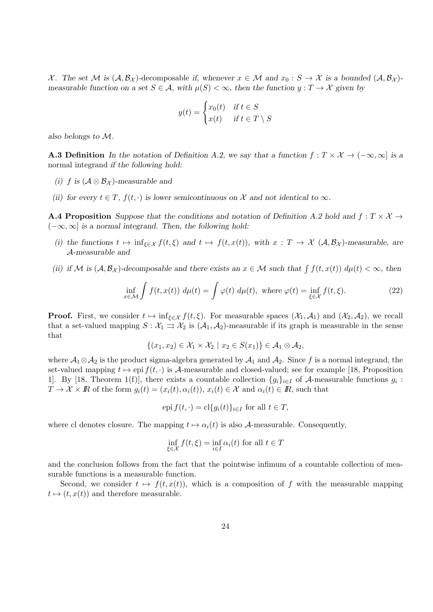X. The set M is  $(A, B_X)$ -decomposable if, whenever  $x \in M$  and  $x_0 : S \to X$  is a bounded  $(A, B_X)$ *measurable function on a set*  $S \in \mathcal{A}$ *, with*  $\mu(S) < \infty$ *, then the function*  $y : T \to \mathcal{X}$  given by

$$
y(t) = \begin{cases} x_0(t) & \text{if } t \in S \\ x(t) & \text{if } t \in T \setminus S \end{cases}
$$

*also belongs to M.*

**A.3 Definition** In the notation of Definition A.2, we say that a function  $f: T \times \mathcal{X} \to (-\infty, \infty]$  is a normal integrand *if the following hold:*

- *(i) f is* (*A ⊗ B<sup>X</sup>* )*-measurable and*
- (ii) for every  $t \in T$ ,  $f(t, \cdot)$  is lower semicontinuous on  $\mathcal X$  and not identical to  $\infty$ .

**A.4 Proposition** *Suppose that the conditions and notation of Definition A.2 hold and*  $f: T \times \mathcal{X} \rightarrow$ (*−∞, ∞*] *is a normal integrand. Then, the following hold:*

- (i) the functions  $t \mapsto \inf_{\xi \in \mathcal{X}} f(t,\xi)$  and  $t \mapsto f(t,x(t))$ , with  $x : T \to \mathcal{X}$   $(\mathcal{A}, \mathcal{B}_{\mathcal{X}})$ -measurable, are *A-measurable and*
- (ii) if M is  $(A, B_X)$ -decomposable and there exists an  $x \in M$  such that  $\int f(t, x(t)) d\mu(t) < \infty$ , then

$$
\inf_{x \in \mathcal{M}} \int f(t, x(t)) \, d\mu(t) = \int \varphi(t) \, d\mu(t), \text{ where } \varphi(t) = \inf_{\xi \in \mathcal{X}} f(t, \xi). \tag{22}
$$

**Proof.** First, we consider  $t \mapsto \inf_{\xi \in \mathcal{X}} f(t, \xi)$ . For measurable spaces  $(\mathcal{X}_1, \mathcal{A}_1)$  and  $(\mathcal{X}_2, \mathcal{A}_2)$ , we recall that a set-valued mapping  $S : \mathcal{X}_1 \rightrightarrows \mathcal{X}_2$  is  $(\mathcal{A}_1, \mathcal{A}_2)$ -measurable if its graph is measurable in the sense that

$$
\{(x_1,x_2)\in\mathcal{X}_1\times\mathcal{X}_2\mid x_2\in S(x_1)\}\in\mathcal{A}_1\otimes\mathcal{A}_2,
$$

where *A*1*⊗A*<sup>2</sup> is the product sigma-algebra generated by *A*<sup>1</sup> and *A*2. Since *f* is a normal integrand, the set-valued mapping  $t \mapsto e$ pi  $f(t, \cdot)$  is *A*-measurable and closed-valued; see for example [18, Proposition 1]. By [18, Theorem 1(f)], there exists a countable collection  ${g_i}_{i \in I}$  of *A*-measurable functions  $g_i$ :  $T \to \mathcal{X} \times \mathbb{R}$  of the form  $g_i(t) = (x_i(t), \alpha_i(t)), x_i(t) \in \mathcal{X}$  and  $\alpha_i(t) \in \mathbb{R}$ , such that

$$
epi f(t, \cdot) = cl{g_i(t)}_{i \in I} \text{ for all } t \in T,
$$

where cl denotes closure. The mapping  $t \mapsto \alpha_i(t)$  is also *A*-measurable. Consequently,

$$
\inf_{\xi \in \mathcal{X}} f(t, \xi) = \inf_{i \in I} \alpha_i(t)
$$
 for all  $t \in T$ 

and the conclusion follows from the fact that the pointwise infimum of a countable collection of measurable functions is a measurable function.

Second, we consider  $t \mapsto f(t, x(t))$ , which is a composition of f with the measurable mapping  $t \mapsto (t, x(t))$  and therefore measurable.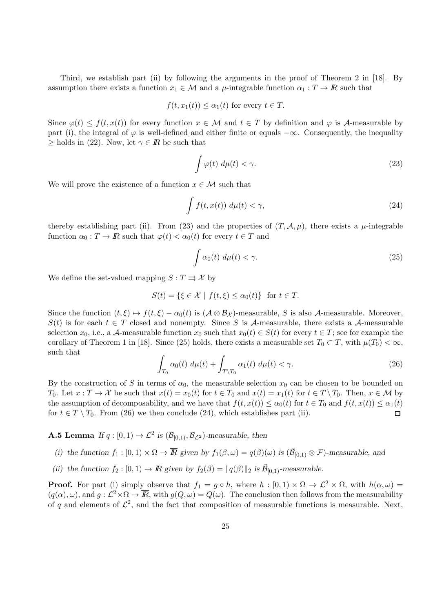Third, we establish part (ii) by following the arguments in the proof of Theorem 2 in [18]. By assumption there exists a function  $x_1 \in \mathcal{M}$  and a  $\mu$ -integrable function  $\alpha_1 : T \to \mathbb{R}$  such that

$$
f(t, x_1(t)) \leq \alpha_1(t)
$$
 for every  $t \in T$ .

Since  $\varphi(t) \leq f(t, x(t))$  for every function  $x \in \mathcal{M}$  and  $t \in T$  by definition and  $\varphi$  is *A*-measurable by part (i), the integral of  $\varphi$  is well-defined and either finite or equals  $-\infty$ . Consequently, the inequality *>* holds in (22). Now, let  $\gamma \in \mathbb{R}$  be such that

$$
\int \varphi(t) \, d\mu(t) < \gamma. \tag{23}
$$

We will prove the existence of a function  $x \in \mathcal{M}$  such that

$$
\int f(t, x(t)) \, d\mu(t) < \gamma,\tag{24}
$$

thereby establishing part (ii). From (23) and the properties of  $(T, \mathcal{A}, \mu)$ , there exists a  $\mu$ -integrable function  $\alpha_0 : T \to \mathbb{R}$  such that  $\varphi(t) < \alpha_0(t)$  for every  $t \in T$  and

$$
\int \alpha_0(t) \, d\mu(t) < \gamma. \tag{25}
$$

We define the set-valued mapping  $S: T \rightrightarrows \mathcal{X}$  by

$$
S(t) = \{ \xi \in \mathcal{X} \mid f(t, \xi) \le \alpha_0(t) \} \text{ for } t \in T.
$$

Since the function  $(t, \xi) \mapsto f(t, \xi) - \alpha_0(t)$  is  $(\mathcal{A} \otimes \mathcal{B}_\mathcal{X})$ -measurable, *S* is also *A*-measurable. Moreover,  $S(t)$  is for each  $t \in T$  closed and nonempty. Since *S* is *A*-measurable, there exists a *A*-measurable selection  $x_0$ , i.e., a *A*-measurable function  $x_0$  such that  $x_0(t) \in S(t)$  for every  $t \in T$ ; see for example the corollary of Theorem 1 in [18]. Since (25) holds, there exists a measurable set  $T_0 \subset T$ , with  $\mu(T_0) < \infty$ , such that

$$
\int_{T_0} \alpha_0(t) \ d\mu(t) + \int_{T \backslash T_0} \alpha_1(t) \ d\mu(t) < \gamma. \tag{26}
$$

By the construction of *S* in terms of  $\alpha_0$ , the measurable selection  $x_0$  can be chosen to be bounded on  $T_0$ . Let  $x: T \to \mathcal{X}$  be such that  $x(t) = x_0(t)$  for  $t \in T_0$  and  $x(t) = x_1(t)$  for  $t \in T \setminus T_0$ . Then,  $x \in \mathcal{M}$  by the assumption of decomposability, and we have that  $f(t, x(t)) \leq \alpha_0(t)$  for  $t \in T_0$  and  $f(t, x(t)) \leq \alpha_1(t)$ for  $t \in T \setminus T_0$ . From (26) we then conclude (24), which establishes part (ii).  $\Box$ 

**A.5 Lemma** *If*  $q$  :  $[0, 1) \rightarrow \mathcal{L}^2$  *is*  $(\bar{\mathcal{B}}_{[0,1)}, \mathcal{B}_{\mathcal{L}^2})$ *-measurable, then* 

- (i) the function  $f_1:[0,1)\times\Omega\to\overline{\mathbb{R}}$  given by  $f_1(\beta,\omega)=q(\beta)(\omega)$  is  $(\overline{\mathcal{B}}_{[0,1)}\otimes\mathcal{F})$ -measurable, and
- *(ii) the function*  $f_2 : [0,1) \to \mathbb{R}$  *given by*  $f_2(\beta) = ||q(\beta)||_2$  *is*  $\overline{\mathcal{B}}_{[0,1)}$ *-measurable.*

**Proof.** For part (i) simply observe that  $f_1 = g \circ h$ , where  $h : [0,1) \times \Omega \to L^2 \times \Omega$ , with  $h(\alpha,\omega) =$  $(q(\alpha), \omega)$ , and  $g: \mathcal{L}^2 \times \Omega \to \overline{\mathbb{R}}$ , with  $g(Q, \omega) = Q(\omega)$ . The conclusion then follows from the measurability of q and elements of  $\mathcal{L}^2$ , and the fact that composition of measurable functions is measurable. Next,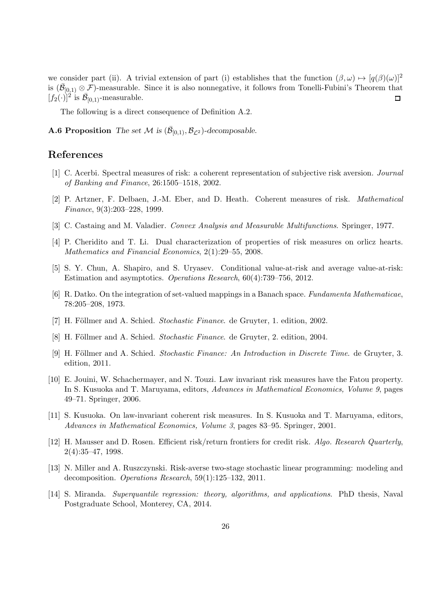we consider part (ii). A trivial extension of part (i) establishes that the function  $(\beta, \omega) \mapsto [q(\beta)(\omega)]^2$ is  $(\bar{\mathcal{B}}_{[0,1)} \otimes \mathcal{F})$ -measurable. Since it is also nonnegative, it follows from Tonelli-Fubini's Theorem that  $[f_2(\cdot)]^2$  is  $\bar{\mathcal{B}}_{[0,1)}$ -measurable.  $\Box$ 

The following is a direct consequence of Definition A.2.

**A.6 Proposition** *The set M* is  $(\bar{\mathcal{B}}_{[0,1)}, \mathcal{B}_{\mathcal{L}^2})$ -decomposable.

#### **References**

- [1] C. Acerbi. Spectral measures of risk: a coherent representation of subjective risk aversion. *Journal of Banking and Finance*, 26:1505–1518, 2002.
- [2] P. Artzner, F. Delbaen, J.-M. Eber, and D. Heath. Coherent measures of risk. *Mathematical Finance*, 9(3):203–228, 1999.
- [3] C. Castaing and M. Valadier. *Convex Analysis and Measurable Multifunctions*. Springer, 1977.
- [4] P. Cheridito and T. Li. Dual characterization of properties of risk measures on orlicz hearts. *Mathematics and Financial Economics*, 2(1):29–55, 2008.
- [5] S. Y. Chun, A. Shapiro, and S. Uryasev. Conditional value-at-risk and average value-at-risk: Estimation and asymptotics. *Operations Research*, 60(4):739–756, 2012.
- [6] R. Datko. On the integration of set-valued mappings in a Banach space. *Fundamenta Mathematicae*, 78:205–208, 1973.
- [7] H. Föllmer and A. Schied. *Stochastic Finance*. de Gruyter, 1. edition, 2002.
- [8] H. Föllmer and A. Schied. *Stochastic Finance*. de Gruyter, 2. edition, 2004.
- [9] H. Föllmer and A. Schied. *Stochastic Finance: An Introduction in Discrete Time*. de Gruyter, 3. edition, 2011.
- [10] E. Jouini, W. Schachermayer, and N. Touzi. Law invariant risk measures have the Fatou property. In S. Kusuoka and T. Maruyama, editors, *Advances in Mathematical Economics, Volume 9*, pages 49–71. Springer, 2006.
- [11] S. Kusuoka. On law-invariant coherent risk measures. In S. Kusuoka and T. Maruyama, editors, *Advances in Mathematical Economics, Volume 3*, pages 83–95. Springer, 2001.
- [12] H. Mausser and D. Rosen. Efficient risk/return frontiers for credit risk. *Algo. Research Quarterly*, 2(4):35–47, 1998.
- [13] N. Miller and A. Ruszczynski. Risk-averse two-stage stochastic linear programming: modeling and decomposition. *Operations Research*, 59(1):125–132, 2011.
- [14] S. Miranda. *Superquantile regression: theory, algorithms, and applications*. PhD thesis, Naval Postgraduate School, Monterey, CA, 2014.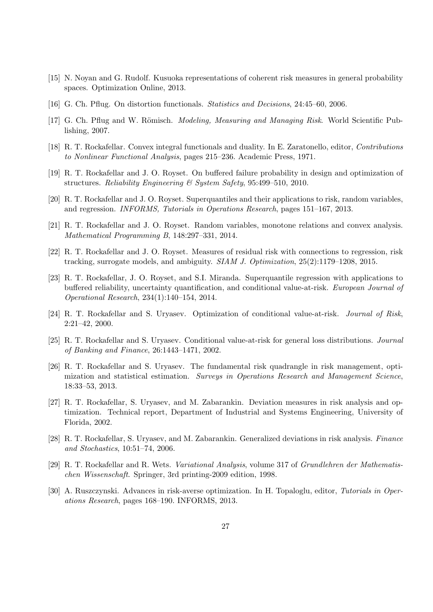- [15] N. Noyan and G. Rudolf. Kusuoka representations of coherent risk measures in general probability spaces. Optimization Online, 2013.
- [16] G. Ch. Pflug. On distortion functionals. *Statistics and Decisions*, 24:45–60, 2006.
- [17] G. Ch. Pflug and W. Römisch. *Modeling, Measuring and Managing Risk*. World Scientific Publishing, 2007.
- [18] R. T. Rockafellar. Convex integral functionals and duality. In E. Zaratonello, editor, *Contributions to Nonlinear Functional Analysis*, pages 215–236. Academic Press, 1971.
- [19] R. T. Rockafellar and J. O. Royset. On buffered failure probability in design and optimization of structures. *Reliability Engineering & System Safety*, 95:499–510, 2010.
- [20] R. T. Rockafellar and J. O. Royset. Superquantiles and their applications to risk, random variables, and regression. *INFORMS, Tutorials in Operations Research*, pages 151–167, 2013.
- [21] R. T. Rockafellar and J. O. Royset. Random variables, monotone relations and convex analysis. *Mathematical Programming B*, 148:297–331, 2014.
- [22] R. T. Rockafellar and J. O. Royset. Measures of residual risk with connections to regression, risk tracking, surrogate models, and ambiguity. *SIAM J. Optimization*, 25(2):1179–1208, 2015.
- [23] R. T. Rockafellar, J. O. Royset, and S.I. Miranda. Superquantile regression with applications to buffered reliability, uncertainty quantification, and conditional value-at-risk. *European Journal of Operational Research*, 234(1):140–154, 2014.
- [24] R. T. Rockafellar and S. Uryasev. Optimization of conditional value-at-risk. *Journal of Risk*, 2:21–42, 2000.
- [25] R. T. Rockafellar and S. Uryasev. Conditional value-at-risk for general loss distributions. *Journal of Banking and Finance*, 26:1443–1471, 2002.
- [26] R. T. Rockafellar and S. Uryasev. The fundamental risk quadrangle in risk management, optimization and statistical estimation. *Surveys in Operations Research and Management Science*, 18:33–53, 2013.
- [27] R. T. Rockafellar, S. Uryasev, and M. Zabarankin. Deviation measures in risk analysis and optimization. Technical report, Department of Industrial and Systems Engineering, University of Florida, 2002.
- [28] R. T. Rockafellar, S. Uryasev, and M. Zabarankin. Generalized deviations in risk analysis. *Finance and Stochastics*, 10:51–74, 2006.
- [29] R. T. Rockafellar and R. Wets. *Variational Analysis*, volume 317 of *Grundlehren der Mathematischen Wissenschaft*. Springer, 3rd printing-2009 edition, 1998.
- [30] A. Ruszczynski. Advances in risk-averse optimization. In H. Topaloglu, editor, *Tutorials in Operations Research*, pages 168–190. INFORMS, 2013.